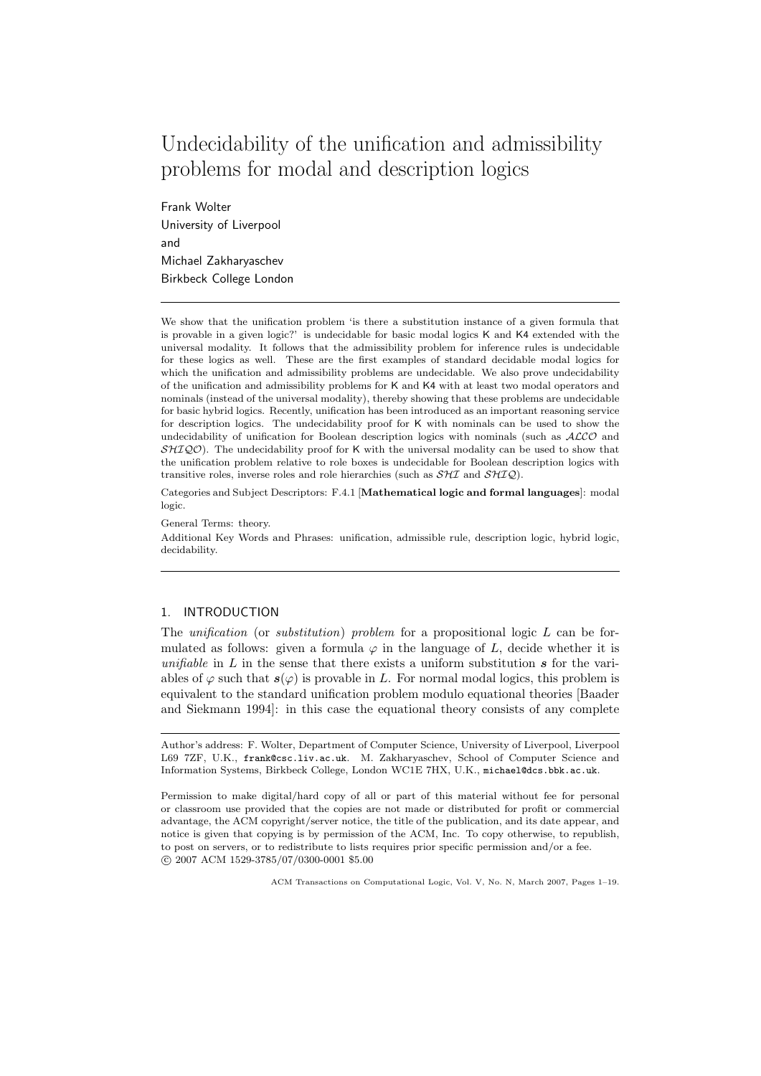# Undecidability of the unification and admissibility problems for modal and description logics

Frank Wolter University of Liverpool and Michael Zakharyaschev Birkbeck College London

We show that the unification problem 'is there a substitution instance of a given formula that is provable in a given logic?' is undecidable for basic modal logics K and K4 extended with the universal modality. It follows that the admissibility problem for inference rules is undecidable for these logics as well. These are the first examples of standard decidable modal logics for which the unification and admissibility problems are undecidable. We also prove undecidability of the unification and admissibility problems for K and K4 with at least two modal operators and nominals (instead of the universal modality), thereby showing that these problems are undecidable for basic hybrid logics. Recently, unification has been introduced as an important reasoning service for description logics. The undecidability proof for K with nominals can be used to show the undecidability of unification for Boolean description logics with nominals (such as ALCO and  $\mathcal{SHIQO}$ ). The undecidability proof for K with the universal modality can be used to show that the unification problem relative to role boxes is undecidable for Boolean description logics with transitive roles, inverse roles and role hierarchies (such as  $\mathcal{SHI}$  and  $\mathcal{SHIQ}$ ).

Categories and Subject Descriptors: F.4.1 [Mathematical logic and formal languages]: modal logic.

General Terms: theory.

Additional Key Words and Phrases: unification, admissible rule, description logic, hybrid logic, decidability.

# 1. INTRODUCTION

The unification (or substitution) problem for a propositional logic L can be formulated as follows: given a formula  $\varphi$  in the language of L, decide whether it is unifiable in  $L$  in the sense that there exists a uniform substitution  $s$  for the variables of  $\varphi$  such that  $s(\varphi)$  is provable in L. For normal modal logics, this problem is equivalent to the standard unification problem modulo equational theories [Baader and Siekmann 1994]: in this case the equational theory consists of any complete

Author's address: F. Wolter, Department of Computer Science, University of Liverpool, Liverpool L69 7ZF, U.K., frank@csc.liv.ac.uk. M. Zakharyaschev, School of Computer Science and Information Systems, Birkbeck College, London WC1E 7HX, U.K., michael@dcs.bbk.ac.uk.

Permission to make digital/hard copy of all or part of this material without fee for personal or classroom use provided that the copies are not made or distributed for profit or commercial advantage, the ACM copyright/server notice, the title of the publication, and its date appear, and notice is given that copying is by permission of the ACM, Inc. To copy otherwise, to republish, to post on servers, or to redistribute to lists requires prior specific permission and/or a fee. c 2007 ACM 1529-3785/07/0300-0001 \$5.00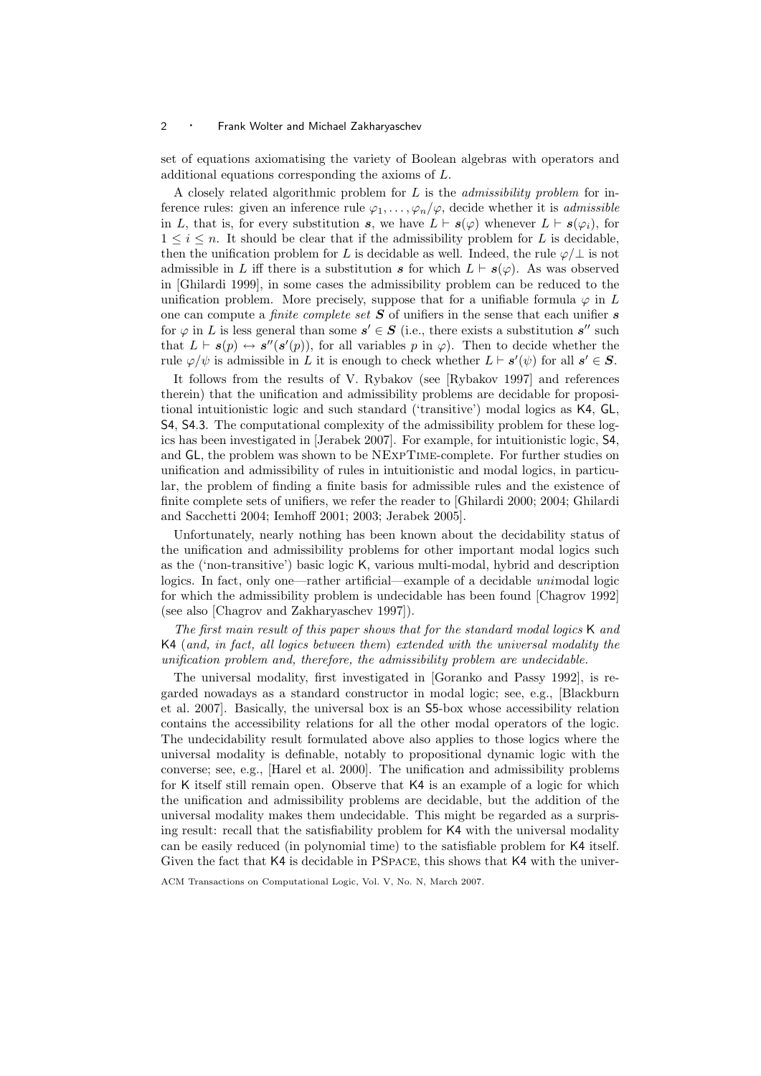set of equations axiomatising the variety of Boolean algebras with operators and additional equations corresponding the axioms of L.

A closely related algorithmic problem for  $L$  is the *admissibility problem* for inference rules: given an inference rule  $\varphi_1, \ldots, \varphi_n/\varphi$ , decide whether it is *admissible* in L, that is, for every substitution s, we have  $L \vdash s(\varphi)$  whenever  $L \vdash s(\varphi_i)$ , for  $1 \leq i \leq n$ . It should be clear that if the admissibility problem for L is decidable, then the unification problem for L is decidable as well. Indeed, the rule  $\varphi/\perp$  is not admissible in L iff there is a substitution s for which  $L \vdash s(\varphi)$ . As was observed in [Ghilardi 1999], in some cases the admissibility problem can be reduced to the unification problem. More precisely, suppose that for a unifiable formula  $\varphi$  in L one can compute a *finite complete set*  $S$  of unifiers in the sense that each unifier  $s$ for  $\varphi$  in L is less general than some  $s' \in S$  (i.e., there exists a substitution  $s''$  such that  $L \vdash s(p) \leftrightarrow s''(s'(p))$ , for all variables p in  $\varphi$ ). Then to decide whether the rule  $\varphi/\psi$  is admissible in L it is enough to check whether  $L \vdash s'(\psi)$  for all  $s' \in S$ .

It follows from the results of V. Rybakov (see [Rybakov 1997] and references therein) that the unification and admissibility problems are decidable for propositional intuitionistic logic and such standard ('transitive') modal logics as K4, GL, S4, S4.3. The computational complexity of the admissibility problem for these logics has been investigated in [Jerabek 2007]. For example, for intuitionistic logic, S4, and GL, the problem was shown to be NExpTime-complete. For further studies on unification and admissibility of rules in intuitionistic and modal logics, in particular, the problem of finding a finite basis for admissible rules and the existence of finite complete sets of unifiers, we refer the reader to [Ghilardi 2000; 2004; Ghilardi and Sacchetti 2004; Iemhoff 2001; 2003; Jerabek 2005].

Unfortunately, nearly nothing has been known about the decidability status of the unification and admissibility problems for other important modal logics such as the ('non-transitive') basic logic K, various multi-modal, hybrid and description logics. In fact, only one—rather artificial—example of a decidable unimodal logic for which the admissibility problem is undecidable has been found [Chagrov 1992] (see also [Chagrov and Zakharyaschev 1997]).

The first main result of this paper shows that for the standard modal logics K and K4 (and, in fact, all logics between them) extended with the universal modality the unification problem and, therefore, the admissibility problem are undecidable.

The universal modality, first investigated in [Goranko and Passy 1992], is regarded nowadays as a standard constructor in modal logic; see, e.g., [Blackburn et al. 2007]. Basically, the universal box is an S5-box whose accessibility relation contains the accessibility relations for all the other modal operators of the logic. The undecidability result formulated above also applies to those logics where the universal modality is definable, notably to propositional dynamic logic with the converse; see, e.g., [Harel et al. 2000]. The unification and admissibility problems for K itself still remain open. Observe that K4 is an example of a logic for which the unification and admissibility problems are decidable, but the addition of the universal modality makes them undecidable. This might be regarded as a surprising result: recall that the satisfiability problem for K4 with the universal modality can be easily reduced (in polynomial time) to the satisfiable problem for K4 itself. Given the fact that K4 is decidable in PSpace, this shows that K4 with the univer-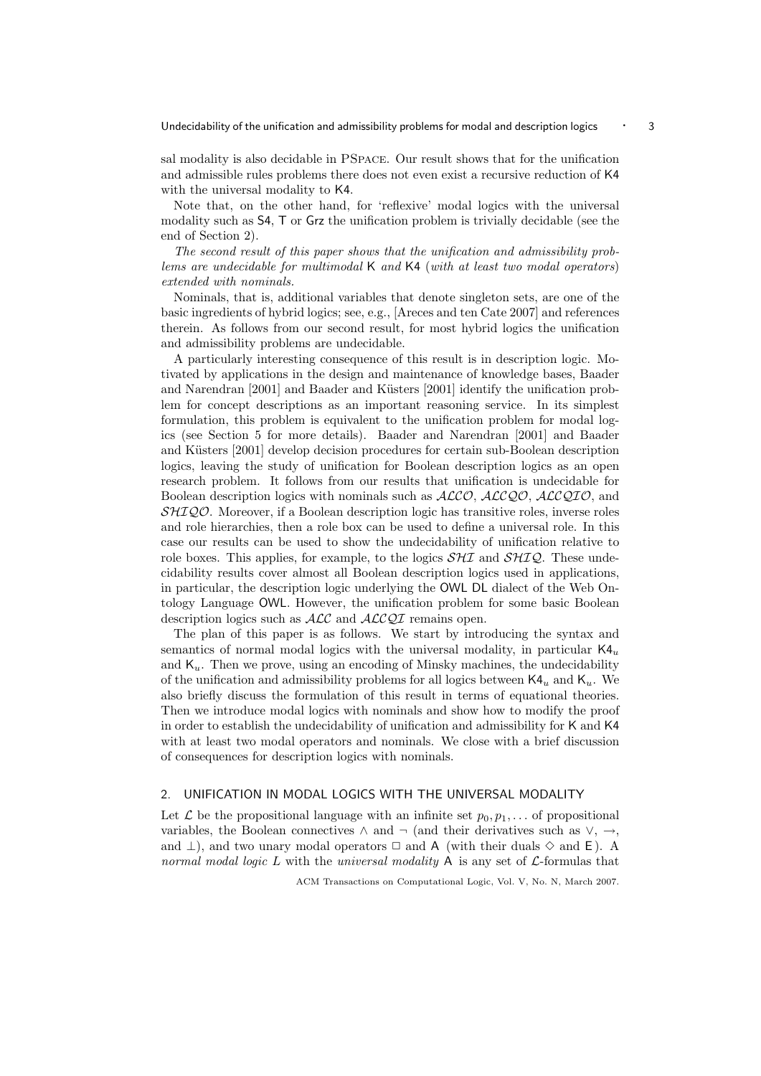sal modality is also decidable in PSpace. Our result shows that for the unification and admissible rules problems there does not even exist a recursive reduction of K4 with the universal modality to K4.

Note that, on the other hand, for 'reflexive' modal logics with the universal modality such as S4, T or Grz the unification problem is trivially decidable (see the end of Section 2).

The second result of this paper shows that the unification and admissibility problems are undecidable for multimodal K and K4 (with at least two modal operators) extended with nominals.

Nominals, that is, additional variables that denote singleton sets, are one of the basic ingredients of hybrid logics; see, e.g., [Areces and ten Cate 2007] and references therein. As follows from our second result, for most hybrid logics the unification and admissibility problems are undecidable.

A particularly interesting consequence of this result is in description logic. Motivated by applications in the design and maintenance of knowledge bases, Baader and Narendran [2001] and Baader and Küsters [2001] identify the unification problem for concept descriptions as an important reasoning service. In its simplest formulation, this problem is equivalent to the unification problem for modal logics (see Section 5 for more details). Baader and Narendran [2001] and Baader and Küsters [2001] develop decision procedures for certain sub-Boolean description logics, leaving the study of unification for Boolean description logics as an open research problem. It follows from our results that unification is undecidable for Boolean description logics with nominals such as  $ALCO$ ,  $ALCQO$ ,  $ALCQIO$ , and SHIQO. Moreover, if a Boolean description logic has transitive roles, inverse roles and role hierarchies, then a role box can be used to define a universal role. In this case our results can be used to show the undecidability of unification relative to role boxes. This applies, for example, to the logics  $\mathcal{SHI}$  and  $\mathcal{SHI}$ . These undecidability results cover almost all Boolean description logics used in applications, in particular, the description logic underlying the OWL DL dialect of the Web Ontology Language OWL. However, the unification problem for some basic Boolean description logics such as  $\text{ALC}$  and  $\text{ALCQI}$  remains open.

The plan of this paper is as follows. We start by introducing the syntax and semantics of normal modal logics with the universal modality, in particular  $K4<sub>u</sub>$ and  $K_u$ . Then we prove, using an encoding of Minsky machines, the undecidability of the unification and admissibility problems for all logics between  $\mathsf{K4}_u$  and  $\mathsf{K}_u$ . We also briefly discuss the formulation of this result in terms of equational theories. Then we introduce modal logics with nominals and show how to modify the proof in order to establish the undecidability of unification and admissibility for K and K4 with at least two modal operators and nominals. We close with a brief discussion of consequences for description logics with nominals.

### 2. UNIFICATION IN MODAL LOGICS WITH THE UNIVERSAL MODALITY

Let  $\mathcal L$  be the propositional language with an infinite set  $p_0, p_1, \ldots$  of propositional variables, the Boolean connectives  $\land$  and  $\neg$  (and their derivatives such as  $\lor$ ,  $\rightarrow$ , and  $\perp$ ), and two unary modal operators  $\Box$  and A (with their duals  $\diamond$  and E). A normal modal logic L with the universal modality  $A$  is any set of  $\mathcal{L}$ -formulas that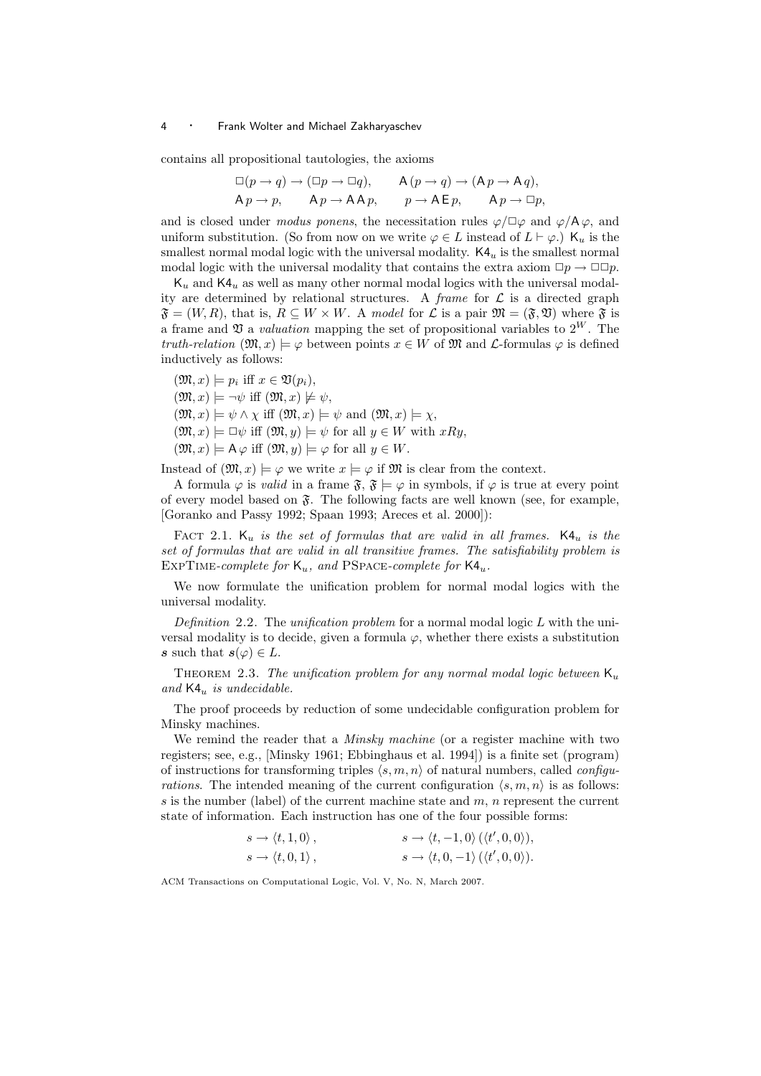contains all propositional tautologies, the axioms

$$
\Box(p \to q) \to (\Box p \to \Box q), \qquad A(p \to q) \to (A p \to A q),
$$
  
\n
$$
A p \to p, \qquad A p \to A A p, \qquad p \to A E p, \qquad A p \to \Box p,
$$

and is closed under modus ponens, the necessitation rules  $\varphi/\Box\varphi$  and  $\varphi/A\varphi$ , and uniform substitution. (So from now on we write  $\varphi \in L$  instead of  $L \vdash \varphi$ .) K<sub>u</sub> is the smallest normal modal logic with the universal modality.  $K4<sub>u</sub>$  is the smallest normal modal logic with the universal modality that contains the extra axiom  $\Box p \rightarrow \Box \Box p$ .

 $K_u$  and  $K_4$  as well as many other normal modal logics with the universal modality are determined by relational structures. A frame for  $\mathcal L$  is a directed graph  $\mathfrak{F} = (W, R)$ , that is,  $R \subseteq W \times W$ . A model for  $\mathcal L$  is a pair  $\mathfrak{M} = (\mathfrak{F}, \mathfrak{V})$  where  $\mathfrak{F}$  is a frame and  $\mathfrak V$  a valuation mapping the set of propositional variables to  $2^W$ . The truth-relation  $(\mathfrak{M}, x) \models \varphi$  between points  $x \in W$  of  $\mathfrak{M}$  and  $\mathcal{L}$ -formulas  $\varphi$  is defined inductively as follows:

 $(\mathfrak{M}, x) \models p_i \text{ iff } x \in \mathfrak{V}(p_i),$  $(\mathfrak{M}, x) \models \neg \psi$  iff  $(\mathfrak{M}, x) \not\models \psi$ ,  $(\mathfrak{M}, x) \models \psi \land \chi \text{ iff } (\mathfrak{M}, x) \models \psi \text{ and } (\mathfrak{M}, x) \models \chi,$  $(\mathfrak{M}, x) \models \Box \psi$  iff  $(\mathfrak{M}, y) \models \psi$  for all  $y \in W$  with  $xRy$ ,  $(\mathfrak{M}, x) \models A \varphi$  iff  $(\mathfrak{M}, y) \models \varphi$  for all  $y \in W$ .

Instead of  $(\mathfrak{M}, x) \models \varphi$  we write  $x \models \varphi$  if  $\mathfrak{M}$  is clear from the context.

A formula  $\varphi$  is valid in a frame  $\mathfrak{F}, \mathfrak{F} \models \varphi$  in symbols, if  $\varphi$  is true at every point of every model based on  $\mathfrak{F}$ . The following facts are well known (see, for example, [Goranko and Passy 1992; Spaan 1993; Areces et al. 2000]):

FACT 2.1. K<sub>u</sub> is the set of formulas that are valid in all frames. K4<sub>u</sub> is the set of formulas that are valid in all transitive frames. The satisfiability problem is EXPTIME-complete for  $K_u$ , and PSPACE-complete for  $K4_u$ .

We now formulate the unification problem for normal modal logics with the universal modality.

Definition 2.2. The unification problem for a normal modal logic  $L$  with the universal modality is to decide, given a formula  $\varphi$ , whether there exists a substitution s such that  $s(\varphi) \in L$ .

THEOREM 2.3. The unification problem for any normal modal logic between  $K_u$ and  $K4_u$  is undecidable.

The proof proceeds by reduction of some undecidable configuration problem for Minsky machines.

We remind the reader that a *Minsky machine* (or a register machine with two registers; see, e.g., [Minsky 1961; Ebbinghaus et al. 1994]) is a finite set (program) of instructions for transforming triples  $\langle s, m, n \rangle$  of natural numbers, called *configu*rations. The intended meaning of the current configuration  $\langle s, m, n \rangle$  is as follows: s is the number (label) of the current machine state and  $m$ , n represent the current state of information. Each instruction has one of the four possible forms:

| $s \rightarrow \langle t, 1, 0 \rangle$ , | $s \rightarrow \langle t, -1, 0 \rangle (\langle t', 0, 0 \rangle),$ |
|-------------------------------------------|----------------------------------------------------------------------|
| $s \rightarrow \langle t, 0, 1 \rangle$ , | $s \rightarrow \langle t, 0, -1 \rangle (\langle t', 0, 0 \rangle).$ |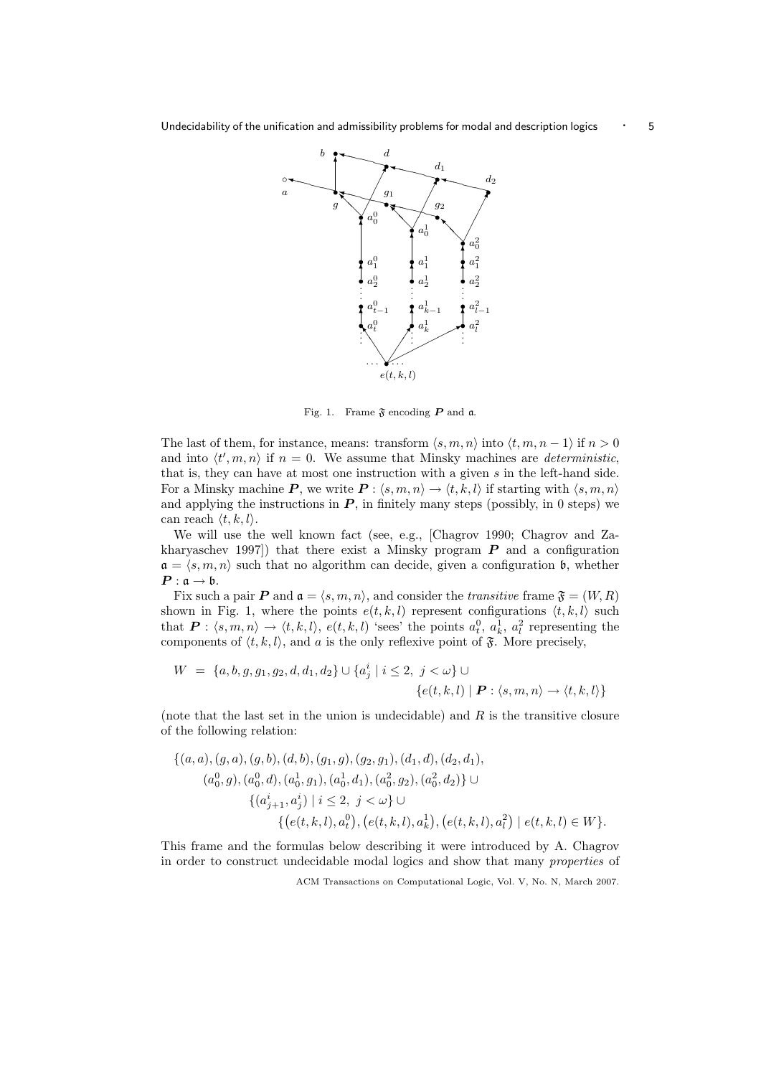

Fig. 1. Frame  $\mathfrak F$  encoding  $P$  and  $\mathfrak a$ .

The last of them, for instance, means: transform  $\langle s, m, n \rangle$  into  $\langle t, m, n - 1 \rangle$  if  $n > 0$ and into  $\langle t', m, n \rangle$  if  $n = 0$ . We assume that Minsky machines are *deterministic*, that is, they can have at most one instruction with a given s in the left-hand side. For a Minsky machine P, we write  $P : \langle s, m, n \rangle \to \langle t, k, l \rangle$  if starting with  $\langle s, m, n \rangle$ and applying the instructions in  $P$ , in finitely many steps (possibly, in 0 steps) we can reach  $\langle t, k, l \rangle$ .

We will use the well known fact (see, e.g., [Chagrov 1990; Chagrov and Zakharyaschev 1997) that there exist a Minsky program  $P$  and a configuration  $a = \langle s, m, n \rangle$  such that no algorithm can decide, given a configuration b, whether  $P: \mathfrak{a} \to \mathfrak{b}.$ 

Fix such a pair P and  $\mathfrak{a} = \langle s, m, n \rangle$ , and consider the transitive frame  $\mathfrak{F} = (W, R)$ shown in Fig. 1, where the points  $e(t, k, l)$  represent configurations  $\langle t, k, l \rangle$  such that  $P: \langle s, m, n \rangle \to \langle t, k, l \rangle$ ,  $e(t, k, l)$  'sees' the points  $a_t^0, a_k^1, a_l^2$  representing the components of  $\langle t, k, l \rangle$ , and a is the only reflexive point of  $\mathfrak{F}$ . More precisely,

$$
W = \{a, b, g, g_1, g_2, d, d_1, d_2\} \cup \{a_j^i \mid i \le 2, j < \omega\} \cup \{\{e(t, k, l) \mid \mathbf{P} : \langle s, m, n \rangle \to \langle t, k, l \rangle\}
$$

(note that the last set in the union is undecidable) and  $R$  is the transitive closure of the following relation:

$$
\{(a, a), (g, a), (g, b), (d, b), (g_1, g), (g_2, g_1), (d_1, d), (d_2, d_1),(a_0^0, g), (a_0^0, d), (a_0^1, g_1), (a_0^1, d_1), (a_0^2, g_2), (a_0^2, d_2)\} \cup \{ (a_{j+1}^i, a_j^i) \mid i \le 2, j < \omega \} \cup \{ (e(t, k, l), a_t^0), (e(t, k, l), a_k^1), (e(t, k, l), a_l^2) \mid e(t, k, l) \in W \}.
$$

This frame and the formulas below describing it were introduced by A. Chagrov in order to construct undecidable modal logics and show that many properties of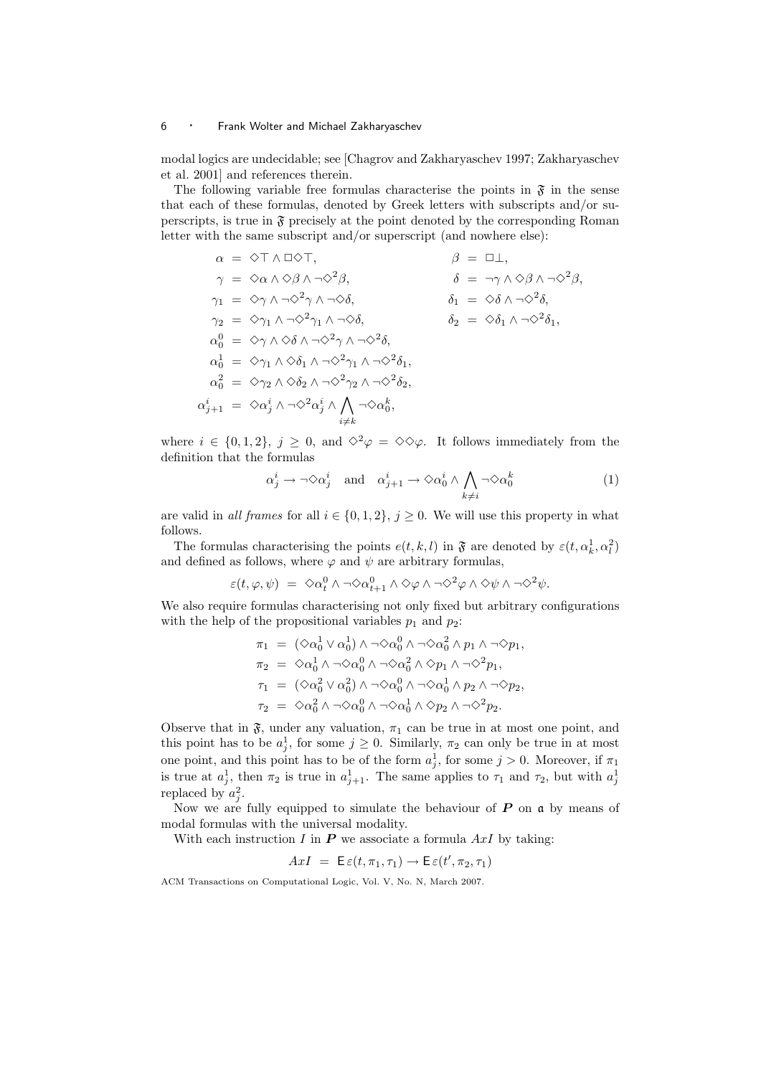modal logics are undecidable; see [Chagrov and Zakharyaschev 1997; Zakharyaschev et al. 2001] and references therein.

The following variable free formulas characterise the points in  $\mathfrak{F}$  in the sense that each of these formulas, denoted by Greek letters with subscripts and/or superscripts, is true in  $\mathfrak{F}$  precisely at the point denoted by the corresponding Roman letter with the same subscript and/or superscript (and nowhere else):

$$
\alpha = \Diamond \top \land \Box \Diamond \top, \qquad \beta = \Box \bot, \n\gamma = \Diamond \alpha \land \Diamond \beta \land \neg \Diamond^2 \beta, \qquad \delta = \neg \gamma \land \Diamond \beta \land \neg \Diamond^2 \beta, \n\gamma_1 = \Diamond \gamma \land \neg \Diamond^2 \gamma \land \neg \Diamond \delta, \qquad \delta_1 = \Diamond \delta \land \neg \Diamond^2 \delta, \n\gamma_2 = \Diamond \gamma_1 \land \neg \Diamond^2 \gamma_1 \land \neg \Diamond \delta, \qquad \delta_2 = \Diamond \delta_1 \land \neg \Diamond^2 \delta_1, \n\alpha_0^0 = \Diamond \gamma \land \Diamond \delta \land \neg \Diamond^2 \gamma_1 \land \neg \Diamond^2 \delta_1, \n\alpha_0^1 = \Diamond \gamma_1 \land \Diamond \delta_1 \land \neg \Diamond^2 \gamma_1 \land \neg \Diamond^2 \delta_1, \n\alpha_0^2 = \Diamond \gamma_2 \land \Diamond \delta_2 \land \neg \Diamond^2 \gamma_2 \land \neg \Diamond^2 \delta_2, \n\alpha_{j+1}^i = \Diamond \alpha_j^i \land \neg \Diamond^2 \alpha_j^i \land \bigwedge_{i \neq k} \neg \Diamond \alpha_0^k,
$$

where  $i \in \{0, 1, 2\}, j \geq 0$ , and  $\diamond^2 \varphi = \diamond \diamond \varphi$ . It follows immediately from the definition that the formulas

$$
\alpha_j^i \to \neg \Diamond \alpha_j^i \quad \text{and} \quad \alpha_{j+1}^i \to \Diamond \alpha_0^i \land \bigwedge_{k \neq i} \neg \Diamond \alpha_0^k \tag{1}
$$

are valid in all frames for all  $i \in \{0,1,2\}, j \ge 0$ . We will use this property in what follows.

The formulas characterising the points  $e(t, k, l)$  in  $\mathfrak{F}$  are denoted by  $\varepsilon(t, \alpha_k^1, \alpha_l^2)$ and defined as follows, where  $\varphi$  and  $\psi$  are arbitrary formulas,

$$
\varepsilon(t,\varphi,\psi) = \langle \infty_0^0 \wedge \neg \Diamond \alpha_{t+1}^0 \wedge \Diamond \varphi \wedge \neg \Diamond^2 \varphi \wedge \Diamond \psi \wedge \neg \Diamond^2 \psi.
$$

We also require formulas characterising not only fixed but arbitrary configurations with the help of the propositional variables  $p_1$  and  $p_2$ :

$$
\begin{array}{lcl} \pi_1 & = & (\Diamond \alpha_0^1 \lor \alpha_0^1) \land \neg \Diamond \alpha_0^0 \land \neg \Diamond \alpha_0^2 \land p_1 \land \neg \Diamond p_1, \\ \pi_2 & = & \Diamond \alpha_0^1 \land \neg \Diamond \alpha_0^0 \land \neg \Diamond \alpha_0^2 \land \Diamond p_1 \land \neg \Diamond^2 p_1, \\ \tau_1 & = & (\Diamond \alpha_0^2 \lor \alpha_0^2) \land \neg \Diamond \alpha_0^0 \land \neg \Diamond \alpha_0^1 \land p_2 \land \neg \Diamond p_2, \\ \tau_2 & = & \Diamond \alpha_0^2 \land \neg \Diamond \alpha_0^0 \land \neg \Diamond \alpha_0^1 \land \Diamond p_2 \land \neg \Diamond^2 p_2. \end{array}
$$

Observe that in  $\mathfrak{F}$ , under any valuation,  $\pi_1$  can be true in at most one point, and this point has to be  $a_j^1$ , for some  $j \geq 0$ . Similarly,  $\pi_2$  can only be true in at most one point, and this point has to be of the form  $a_j^1$ , for some  $j > 0$ . Moreover, if  $\pi_1$ is true at  $a_j^1$ , then  $\pi_2$  is true in  $a_{j+1}^1$ . The same applies to  $\tau_1$  and  $\tau_2$ , but with  $a_j^1$ replaced by  $a_j^2$ .

Now we are fully equipped to simulate the behaviour of  $P$  on  $\mathfrak a$  by means of modal formulas with the universal modality.

With each instruction I in  $P$  we associate a formula  $AxI$  by taking:

$$
AxI = \mathsf{E}\,\varepsilon(t,\pi_1,\tau_1) \to \mathsf{E}\,\varepsilon(t',\pi_2,\tau_1)
$$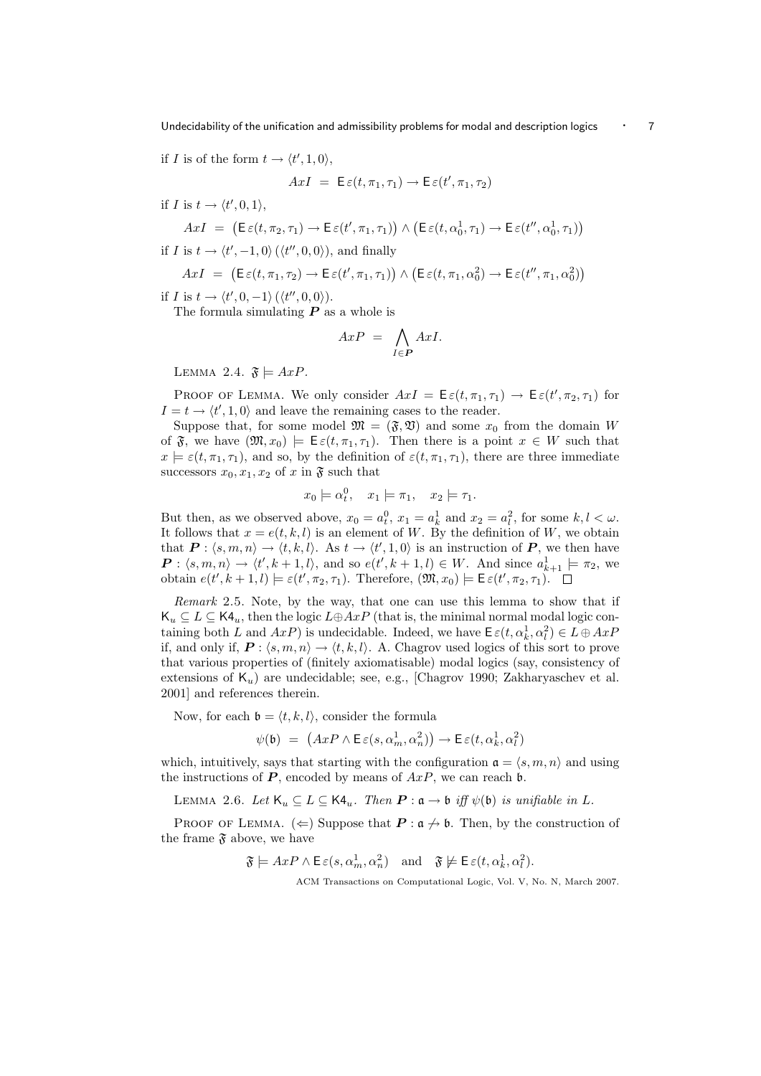Undecidability of the unification and admissibility problems for modal and description logics  $\cdot$  7

if I is of the form  $t \to \langle t', 1, 0 \rangle$ ,

$$
AxI = E\varepsilon(t, \pi_1, \tau_1) \rightarrow E\varepsilon(t', \pi_1, \tau_2)
$$

if I is  $t \to \langle t', 0, 1 \rangle$ ,

$$
AxI = (\mathsf{E}\,\varepsilon(t,\pi_2,\tau_1) \to \mathsf{E}\,\varepsilon(t',\pi_1,\tau_1)) \land (\mathsf{E}\,\varepsilon(t,\alpha_0^1,\tau_1) \to \mathsf{E}\,\varepsilon(t'',\alpha_0^1,\tau_1))
$$

if I is  $t \to \langle t', -1, 0 \rangle (\langle t'', 0, 0 \rangle)$ , and finally

$$
AxI = (\mathsf{E}\,\varepsilon(t,\pi_1,\tau_2) \to \mathsf{E}\,\varepsilon(t',\pi_1,\tau_1)) \land (\mathsf{E}\,\varepsilon(t,\pi_1,\alpha_0^2) \to \mathsf{E}\,\varepsilon(t'',\pi_1,\alpha_0^2))
$$

if I is  $t \to \langle t', 0, -1 \rangle (\langle t'', 0, 0 \rangle)$ .

The formula simulating  $P$  as a whole is

$$
AxP = \bigwedge_{I \in P} AxI.
$$

LEMMA 2.4.  $\mathfrak{F} \models AxP$ .

PROOF OF LEMMA. We only consider  $AxI = \mathsf{E}\,\varepsilon(t,\pi_1,\tau_1) \to \mathsf{E}\,\varepsilon(t',\pi_2,\tau_1)$  for  $I = t \rightarrow \langle t', 1, 0 \rangle$  and leave the remaining cases to the reader.

Suppose that, for some model  $\mathfrak{M} = (\mathfrak{F}, \mathfrak{V})$  and some  $x_0$  from the domain W of  $\mathfrak{F}$ , we have  $(\mathfrak{M}, x_0) \models \mathsf{E}\varepsilon(t, \pi_1, \tau_1)$ . Then there is a point  $x \in W$  such that  $x \models \varepsilon(t, \pi_1, \tau_1)$ , and so, by the definition of  $\varepsilon(t, \pi_1, \tau_1)$ , there are three immediate successors  $x_0, x_1, x_2$  of x in  $\mathfrak{F}$  such that

$$
x_0 \models \alpha_t^0, \quad x_1 \models \pi_1, \quad x_2 \models \tau_1.
$$

But then, as we observed above,  $x_0 = a_t^0$ ,  $x_1 = a_k^1$  and  $x_2 = a_t^2$ , for some  $k, l < \omega$ . It follows that  $x = e(t, k, l)$  is an element of W. By the definition of W, we obtain that  $P: \langle s, m, n \rangle \to \langle t, k, l \rangle$ . As  $t \to \langle t', 1, 0 \rangle$  is an instruction of P, we then have  $\boldsymbol{P}$  :  $\langle s, m, n \rangle \to \langle t', k+1, l \rangle$ , and so  $e(t', k+1, l) \in W$ . And since  $a_{k+1}^1 \models \pi_2$ , we obtain  $e(t', k+1, l) \models \varepsilon(t', \pi_2, \tau_1)$ . Therefore,  $(\mathfrak{M}, x_0) \models \mathsf{E}\,\varepsilon(t', \pi_2, \tau_1)$ .

Remark 2.5. Note, by the way, that one can use this lemma to show that if  $\mathsf{K}_u \subseteq L \subseteq \mathsf{K4}_u$ , then the logic  $L \oplus AxP$  (that is, the minimal normal modal logic containing both L and  $AxP$ ) is undecidable. Indeed, we have  $\mathsf{E}\,\varepsilon(t,\alpha_k^1,\alpha_l^2) \in L \oplus AxP$ if, and only if,  $P : \langle s, m, n \rangle \rightarrow \langle t, k, l \rangle$ . A. Chagrov used logics of this sort to prove that various properties of (finitely axiomatisable) modal logics (say, consistency of extensions of  $K_u$ ) are undecidable; see, e.g., [Chagrov 1990; Zakharyaschev et al. 2001] and references therein.

Now, for each  $\mathfrak{b} = \langle t, k, l \rangle$ , consider the formula

$$
\psi(\mathfrak{b}) = (AxP \wedge \mathsf{E}\,\varepsilon(s,\alpha_m^1,\alpha_n^2)) \rightarrow \mathsf{E}\,\varepsilon(t,\alpha_k^1,\alpha_l^2)
$$

which, intuitively, says that starting with the configuration  $a = \langle s, m, n \rangle$  and using the instructions of  $P$ , encoded by means of  $AxP$ , we can reach b.

LEMMA 2.6. Let  $\mathsf{K}_u \subseteq L \subseteq \mathsf{K4}_u$ . Then  $\mathbf{P} : \mathfrak{a} \to \mathfrak{b}$  iff  $\psi(\mathfrak{b})$  is unifiable in L.

PROOF OF LEMMA.  $(\Leftarrow)$  Suppose that  $P : \mathfrak{a} \nrightarrow \mathfrak{b}$ . Then, by the construction of the frame  $\mathfrak F$  above, we have

 $\mathfrak{F} \models \text{AxP} \land \mathsf{E}\,\varepsilon(s, \alpha_m^1, \alpha_n^2) \quad \text{and} \quad \mathfrak{F} \not\models \mathsf{E}\,\varepsilon(t, \alpha_k^1, \alpha_l^2).$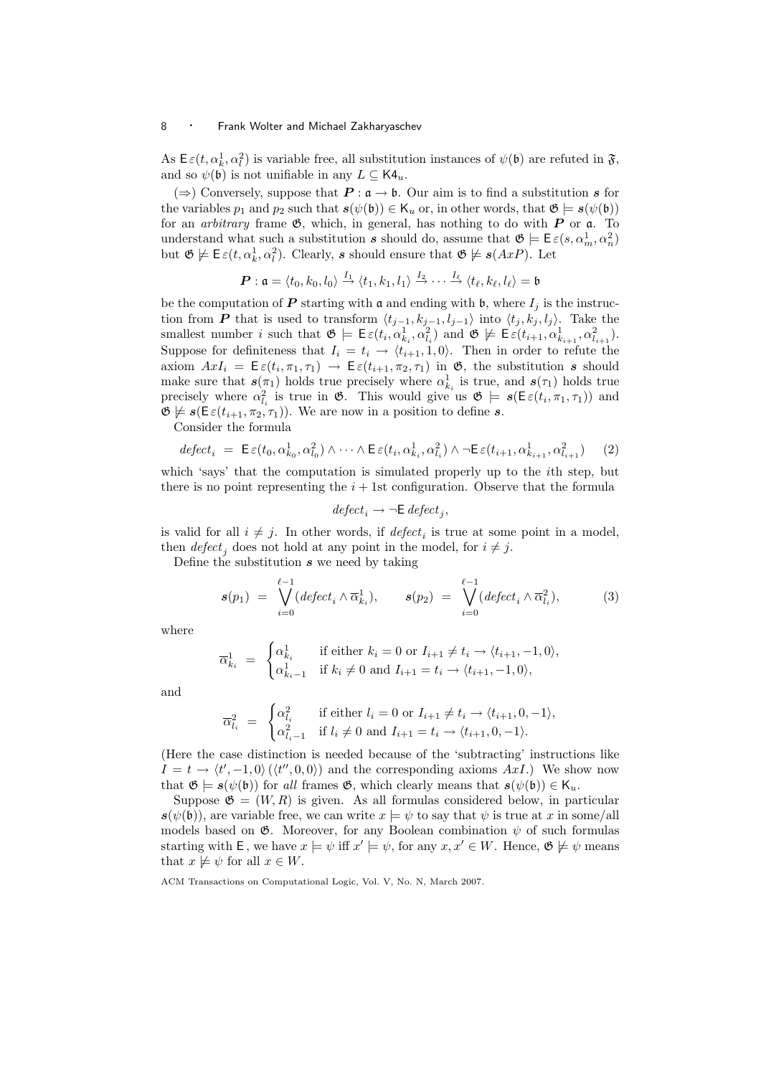As  $\mathsf{E}\,\varepsilon(t,\alpha_k^1,\alpha_l^2)$  is variable free, all substitution instances of  $\psi(\mathfrak{b})$  are refuted in  $\mathfrak{F}$ , and so  $\psi(\mathfrak{b})$  is not unifiable in any  $L \subseteq \mathsf{K4}_u$ .

 $(\Rightarrow)$  Conversely, suppose that  $P : \mathfrak{a} \to \mathfrak{b}$ . Our aim is to find a substitution s for the variables  $p_1$  and  $p_2$  such that  $s(\psi(\mathfrak{b})) \in \mathsf{K}_u$  or, in other words, that  $\mathfrak{G} \models s(\psi(\mathfrak{b}))$ for an *arbitrary* frame  $\mathfrak{G}$ , which, in general, has nothing to do with **P** or  $\mathfrak{a}$ . To understand what such a substitution s should do, assume that  $\mathfrak{G} \models E \varepsilon(s, \alpha_m^1, \alpha_n^2)$ but  $\mathfrak{G} \not\models \mathsf{E}\,\varepsilon(t,\alpha_k^1,\alpha_l^2)$ . Clearly, s should ensure that  $\mathfrak{G} \not\models s(AxP)$ . Let

$$
\boldsymbol{P}:\mathfrak{a}=\langle t_0,k_0,l_0\rangle\stackrel{I_1}{\rightarrow}\langle t_1,k_1,l_1\rangle\stackrel{I_2}{\rightarrow}\cdots\stackrel{I_\ell}{\rightarrow}\langle t_\ell,k_\ell,l_\ell\rangle=\mathfrak{b}
$$

be the computation of P starting with  $\mathfrak a$  and ending with  $\mathfrak b$ , where  $I_i$  is the instruction from P that is used to transform  $\langle t_{j-1}, k_{j-1}, l_{j-1} \rangle$  into  $\langle t_j, k_j, l_j \rangle$ . Take the smallest number *i* such that  $\mathfrak{G} \models \mathsf{E}_{\varepsilon}(t_i, \alpha_{k_i}^1, \alpha_{l_i}^2)$  and  $\mathfrak{G} \not\models \mathsf{E}_{\varepsilon}(t_{i+1}, \alpha_{k_{i+1}}^1, \alpha_{l_{i+1}}^2)$ . Suppose for definiteness that  $I_i = t_i \rightarrow \langle t_{i+1}, 1, 0 \rangle$ . Then in order to refute the axiom  $AxI_i = \mathsf{E}\varepsilon(t_i,\pi_1,\tau_1) \to \mathsf{E}\varepsilon(t_{i+1},\pi_2,\tau_1)$  in  $\mathfrak{G}$ , the substitution s should make sure that  $s(\pi_1)$  holds true precisely where  $\alpha_{k_i}^1$  is true, and  $s(\tau_1)$  holds true precisely where  $\alpha_{l_i}^2$  is true in **6**. This would give us  $\mathfrak{G} \models s(\mathsf{E}\varepsilon(t_i,\pi_1,\tau_1))$  and  $\mathfrak{G} \not\models s(\mathsf{E}\,\varepsilon(t_{i+1}, \pi_2, \tau_1)).$  We are now in a position to define s.

Consider the formula

$$
defect_i = \mathsf{E}\varepsilon(t_0, \alpha_{k_0}^1, \alpha_{l_0}^2) \wedge \cdots \wedge \mathsf{E}\varepsilon(t_i, \alpha_{k_i}^1, \alpha_{l_i}^2) \wedge \neg \mathsf{E}\varepsilon(t_{i+1}, \alpha_{k_{i+1}}^1, \alpha_{l_{i+1}}^2)
$$
 (2)

which 'says' that the computation is simulated properly up to the *i*th step, but there is no point representing the  $i + 1$ st configuration. Observe that the formula

$$
\textit{defect}_i \rightarrow \neg \textsf{E}\, \textit{defect}_j,
$$

is valid for all  $i \neq j$ . In other words, if  $defect_i$  is true at some point in a model, then  $defect_i$  does not hold at any point in the model, for  $i \neq j$ .

Define the substitution  $s$  we need by taking

$$
\mathbf{s}(p_1) = \bigvee_{i=0}^{\ell-1} (defect_i \wedge \overline{\alpha}_{k_i}^1), \qquad \mathbf{s}(p_2) = \bigvee_{i=0}^{\ell-1} (defect_i \wedge \overline{\alpha}_{l_i}^2), \tag{3}
$$

where

$$
\overline{\alpha}_{k_i}^1 = \begin{cases} \alpha_{k_i}^1 & \text{if either } k_i = 0 \text{ or } I_{i+1} \neq t_i \to \langle t_{i+1}, -1, 0 \rangle, \\ \alpha_{k_i-1}^1 & \text{if } k_i \neq 0 \text{ and } I_{i+1} = t_i \to \langle t_{i+1}, -1, 0 \rangle, \end{cases}
$$

and

$$
\overline{\alpha}_{l_i}^2 = \begin{cases} \alpha_{l_i}^2 & \text{if either } l_i = 0 \text{ or } I_{i+1} \neq t_i \rightarrow \langle t_{i+1}, 0, -1 \rangle, \\ \alpha_{l_i-1}^2 & \text{if } l_i \neq 0 \text{ and } I_{i+1} = t_i \rightarrow \langle t_{i+1}, 0, -1 \rangle. \end{cases}
$$

(Here the case distinction is needed because of the 'subtracting' instructions like  $I = t \rightarrow \langle t', -1, 0 \rangle (\langle t'', 0, 0 \rangle)$  and the corresponding axioms  $AxI$ .) We show now that  $\mathfrak{G} \models s(\psi(\mathfrak{b}))$  for all frames  $\mathfrak{G}$ , which clearly means that  $s(\psi(\mathfrak{b})) \in \mathsf{K}_u$ .

Suppose  $\mathfrak{G} = (W, R)$  is given. As all formulas considered below, in particular  $s(\psi(\mathfrak{b}))$ , are variable free, we can write  $x \models \psi$  to say that  $\psi$  is true at x in some/all models based on  $\mathfrak{G}$ . Moreover, for any Boolean combination  $\psi$  of such formulas starting with **E**, we have  $x \models \psi$  iff  $x' \models \psi$ , for any  $x, x' \in W$ . Hence,  $\mathfrak{G} \not\models \psi$  means that  $x \not\models \psi$  for all  $x \in W$ .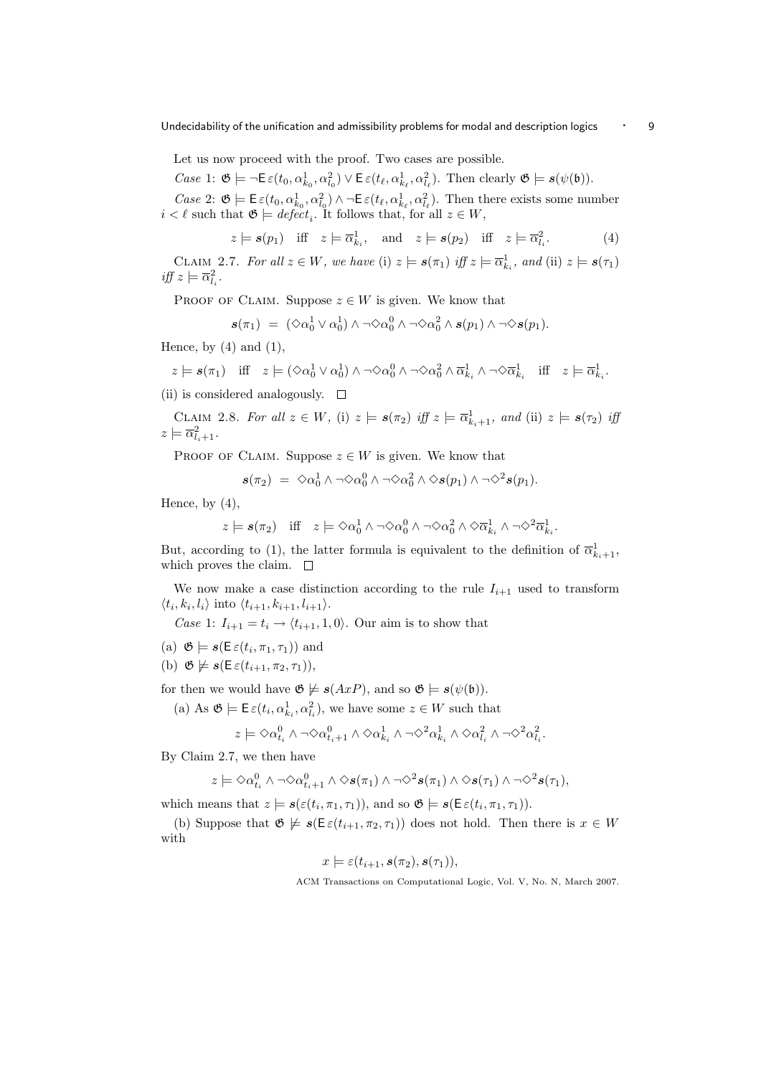Let us now proceed with the proof. Two cases are possible.

Case 1:  $\mathfrak{G} \models \neg \mathsf{E}\,\varepsilon(t_0, \alpha_{k_0}^1, \alpha_{l_0}^2) \vee \mathsf{E}\,\varepsilon(t_\ell, \alpha_{k_\ell}^1, \alpha_{l_\ell}^2)$ . Then clearly  $\mathfrak{G} \models s(\psi(\mathfrak{b}))$ .

Case 2:  $\mathfrak{G} \models \mathsf{E}\,\varepsilon(t_0, \alpha_{k_0}^1, \alpha_{l_0}^2) \wedge \neg \mathsf{E}\,\varepsilon(t_\ell, \alpha_{k_\ell}^1, \alpha_{l_\ell}^2)$ . Then there exists some number  $i < \ell$  such that  $\mathfrak{G} \models \text{defect}_i$ . It follows that, for all  $z \in W$ ,

$$
z \models s(p_1)
$$
 iff  $z \models \overline{\alpha}_{k_i}^1$ , and  $z \models s(p_2)$  iff  $z \models \overline{\alpha}_{l_i}^2$ . (4)

CLAIM 2.7. For all  $z \in W$ , we have (i)  $z \models s(\pi_1)$  iff  $z \models \overline{\alpha}_{k_i}^1$ , and (ii)  $z \models s(\tau_1)$ iff  $z \models \overline{\alpha}_{l_i}^2$ .

PROOF OF CLAIM. Suppose  $z \in W$  is given. We know that

$$
\mathbf{s}(\pi_1) = (\Diamond \alpha_0^1 \lor \alpha_0^1) \land \neg \Diamond \alpha_0^0 \land \neg \Diamond \alpha_0^2 \land \mathbf{s}(p_1) \land \neg \Diamond \mathbf{s}(p_1).
$$

Hence, by  $(4)$  and  $(1)$ ,

$$
z \models \mathbf{s}(\pi_1) \quad \text{iff} \quad z \models (\Diamond \alpha_0^1 \lor \alpha_0^1) \land \neg \Diamond \alpha_0^0 \land \neg \Diamond \alpha_0^2 \land \overline{\alpha}_{k_i}^1 \land \neg \Diamond \overline{\alpha}_{k_i}^1 \quad \text{iff} \quad z \models \overline{\alpha}_{k_i}^1.
$$

(ii) is considered analogously.  $\square$ 

CLAIM 2.8. For all  $z \in W$ , (i)  $z \models s(\pi_2)$  iff  $z \models \overline{\alpha}_{k_i+1}^1$ , and (ii)  $z \models s(\tau_2)$  iff  $z \models \overline{\alpha}_{l_i+1}^2$ .

PROOF OF CLAIM. Suppose  $z \in W$  is given. We know that

$$
s(\pi_2) = \Diamond \alpha_0^1 \land \neg \Diamond \alpha_0^0 \land \neg \Diamond \alpha_0^2 \land \Diamond s(p_1) \land \neg \Diamond^2 s(p_1).
$$

Hence, by  $(4)$ ,

$$
z \models s(\pi_2)
$$
 iff  $z \models \Diamond \alpha_0^1 \land \neg \Diamond \alpha_0^0 \land \neg \Diamond \alpha_0^2 \land \Diamond \overline{\alpha}_{k_i}^1 \land \neg \Diamond^2 \overline{\alpha}_{k_i}^1$ .

But, according to (1), the latter formula is equivalent to the definition of  $\overline{\alpha}_{k_i+1}^1$ , which proves the claim.  $\quad \Box$ 

We now make a case distinction according to the rule  $I_{i+1}$  used to transform  $\langle t_i, k_i, l_i \rangle$  into  $\langle t_{i+1}, k_{i+1}, l_{i+1} \rangle$ .

Case 1:  $I_{i+1} = t_i \rightarrow \langle t_{i+1}, 1, 0 \rangle$ . Our aim is to show that

- (a)  $\mathfrak{G} \models \mathbf{s}(\mathsf{E}\,\varepsilon(t_i,\pi_1,\tau_1))$  and
- (b)  $\mathfrak{G} \not\models s(\mathsf{E}\,\varepsilon(t_{i+1},\pi_2,\tau_1)),$

for then we would have  $\mathfrak{G} \not\models s(AxP)$ , and so  $\mathfrak{G} \models s(\psi(\mathfrak{b}))$ .

(a) As  $\mathfrak{G} \models \mathsf{E}\,\varepsilon(t_i, \alpha_{k_i}^1, \alpha_{l_i}^2)$ , we have some  $z \in W$  such that

$$
z \models \Diamond \alpha^0_{t_i} \land \neg \Diamond \alpha^0_{t_i+1} \land \Diamond \alpha^1_{k_i} \land \neg \Diamond^2 \alpha^1_{k_i} \land \Diamond \alpha^2_{l_i} \land \neg \Diamond^2 \alpha^2_{l_i}.
$$

By Claim 2.7, we then have

$$
z \models \Diamond \alpha_{t_i}^0 \land \neg \Diamond \alpha_{t_i+1}^0 \land \Diamond s(\pi_1) \land \neg \Diamond^2 s(\pi_1) \land \Diamond s(\tau_1) \land \neg \Diamond^2 s(\tau_1),
$$

which means that  $z \models s(\varepsilon(t_i, \pi_1, \tau_1))$ , and so  $\mathfrak{G} \models s(\mathsf{E}\varepsilon(t_i, \pi_1, \tau_1))$ .

(b) Suppose that  $\mathfrak{G} \not\models s(\mathsf{E}\varepsilon(t_{i+1}, \pi_2, \tau_1))$  does not hold. Then there is  $x \in W$ with

$$
x \models \varepsilon(t_{i+1}, s(\pi_2), s(\tau_1)),
$$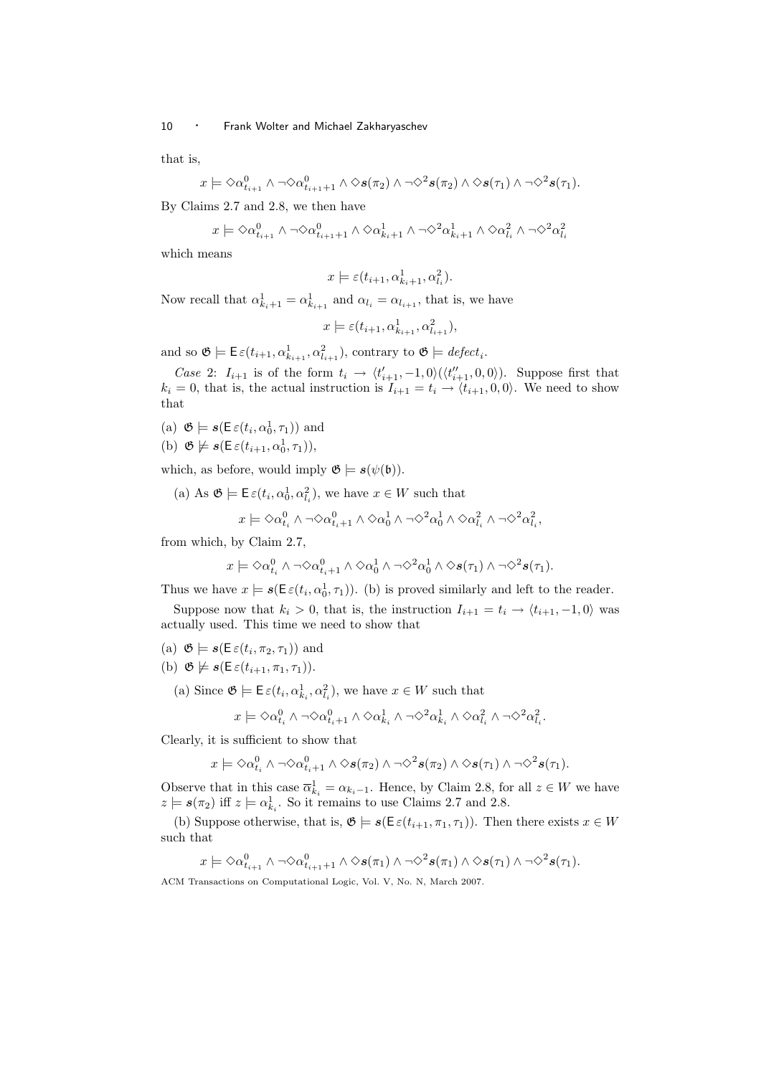that is,

$$
x \models \Diamond \alpha_{t_{i+1}}^0 \land \neg \Diamond \alpha_{t_{i+1}+1}^0 \land \Diamond s(\pi_2) \land \neg \Diamond^2 s(\pi_2) \land \Diamond s(\tau_1) \land \neg \Diamond^2 s(\tau_1).
$$

By Claims 2.7 and 2.8, we then have

$$
x \models \Diamond \alpha_{t_{i+1}}^0 \land \neg \Diamond \alpha_{t_{i+1}+1}^0 \land \Diamond \alpha_{k_i+1}^1 \land \neg \Diamond^2 \alpha_{k_i+1}^1 \land \Diamond \alpha_{l_i}^2 \land \neg \Diamond^2 \alpha_{l_i}^2
$$

which means

$$
x \models \varepsilon(t_{i+1}, \alpha_{k_i+1}^1, \alpha_{l_i}^2).
$$

Now recall that  $\alpha_{k_i+1}^1 = \alpha_{k_{i+1}}^1$  and  $\alpha_{l_i} = \alpha_{l_{i+1}}$ , that is, we have

$$
x \models \varepsilon(t_{i+1}, \alpha_{k_{i+1}}^1, \alpha_{l_{i+1}}^2),
$$

and so  $\mathfrak{G} \models \mathsf{E}\,\varepsilon(t_{i+1}, \alpha_{k_{i+1}}^1, \alpha_{l_{i+1}}^2)$ , contrary to  $\mathfrak{G} \models \text{defect}_i$ .

Case 2:  $I_{i+1}$  is of the form  $t_i \rightarrow \langle t'_{i+1}, -1, 0 \rangle (\langle t''_{i+1}, 0, 0 \rangle)$ . Suppose first that  $k_i = 0$ , that is, the actual instruction is  $I_{i+1} = t_i \rightarrow \langle t_{i+1}, 0, 0 \rangle$ . We need to show that

- (a)  $\mathfrak{G} \models \mathbf{s}(\mathsf{E}\,\varepsilon(t_i,\alpha_0^1,\tau_1))$  and
- (b)  $\mathfrak{G} \not\models s(\mathsf{E}\,\varepsilon(t_{i+1},\alpha_0^1,\tau_1)),$

which, as before, would imply  $\mathfrak{G} \models s(\psi(\mathfrak{b})).$ 

(a) As  $\mathfrak{G} \models \mathsf{E}\,\varepsilon(t_i, \alpha_0^1, \alpha_{l_i}^2)$ , we have  $x \in W$  such that

$$
x \models \Diamond \alpha^0_{t_i} \land \neg \Diamond \alpha^0_{t_i+1} \land \Diamond \alpha^1_0 \land \neg \Diamond^2 \alpha^1_0 \land \Diamond \alpha^2_{l_i} \land \neg \Diamond^2 \alpha^2_{l_i},
$$

from which, by Claim 2.7,

$$
x \models \Diamond \alpha^0_{t_i} \land \neg \Diamond \alpha^0_{t_i+1} \land \Diamond \alpha^1_0 \land \neg \Diamond^2 \alpha^1_0 \land \Diamond s(\tau_1) \land \neg \Diamond^2 s(\tau_1).
$$

Thus we have  $x \models s(\mathsf{E}\,\varepsilon(t_i, \alpha_0^1, \tau_1))$ . (b) is proved similarly and left to the reader.

Suppose now that  $k_i > 0$ , that is, the instruction  $I_{i+1} = t_i \rightarrow \langle t_{i+1}, -1, 0 \rangle$  was actually used. This time we need to show that

- (a)  $\mathfrak{G} \models \mathbf{s}(\mathsf{E}\,\varepsilon(t_i,\pi_2,\tau_1))$  and
- (b)  $\mathfrak{G} \not\models s(\mathsf{E}\,\varepsilon(t_{i+1}, \pi_1, \tau_1)).$ 
	- (a) Since  $\mathfrak{G} \models \mathsf{E}\,\varepsilon(t_i, \alpha_{k_i}^1, \alpha_{l_i}^2)$ , we have  $x \in W$  such that

$$
x \models \Diamond \alpha^0_{t_i} \land \neg \Diamond \alpha^0_{t_i+1} \land \Diamond \alpha^1_{k_i} \land \neg \Diamond^2 \alpha^1_{k_i} \land \Diamond \alpha^2_{l_i} \land \neg \Diamond^2 \alpha^2_{l_i}.
$$

Clearly, it is sufficient to show that

$$
x \models \Diamond \alpha_{t_i}^0 \land \neg \Diamond \alpha_{t_i+1}^0 \land \Diamond s(\pi_2) \land \neg \Diamond^2 s(\pi_2) \land \Diamond s(\tau_1) \land \neg \Diamond^2 s(\tau_1).
$$

Observe that in this case  $\overline{\alpha}_{k_i}^1 = \alpha_{k_i-1}$ . Hence, by Claim 2.8, for all  $z \in W$  we have  $z \models s(\pi_2)$  iff  $z \models \alpha_{k_i}^1$ . So it remains to use Claims 2.7 and 2.8.

(b) Suppose otherwise, that is,  $\mathfrak{G} \models s(\mathsf{E}\varepsilon(t_{i+1}, \pi_1, \tau_1))$ . Then there exists  $x \in W$ such that

$$
x \models \Diamond \alpha_{t_{i+1}}^0 \land \neg \Diamond \alpha_{t_{i+1}+1}^0 \land \Diamond s(\pi_1) \land \neg \Diamond^2 s(\pi_1) \land \Diamond s(\tau_1) \land \neg \Diamond^2 s(\tau_1).
$$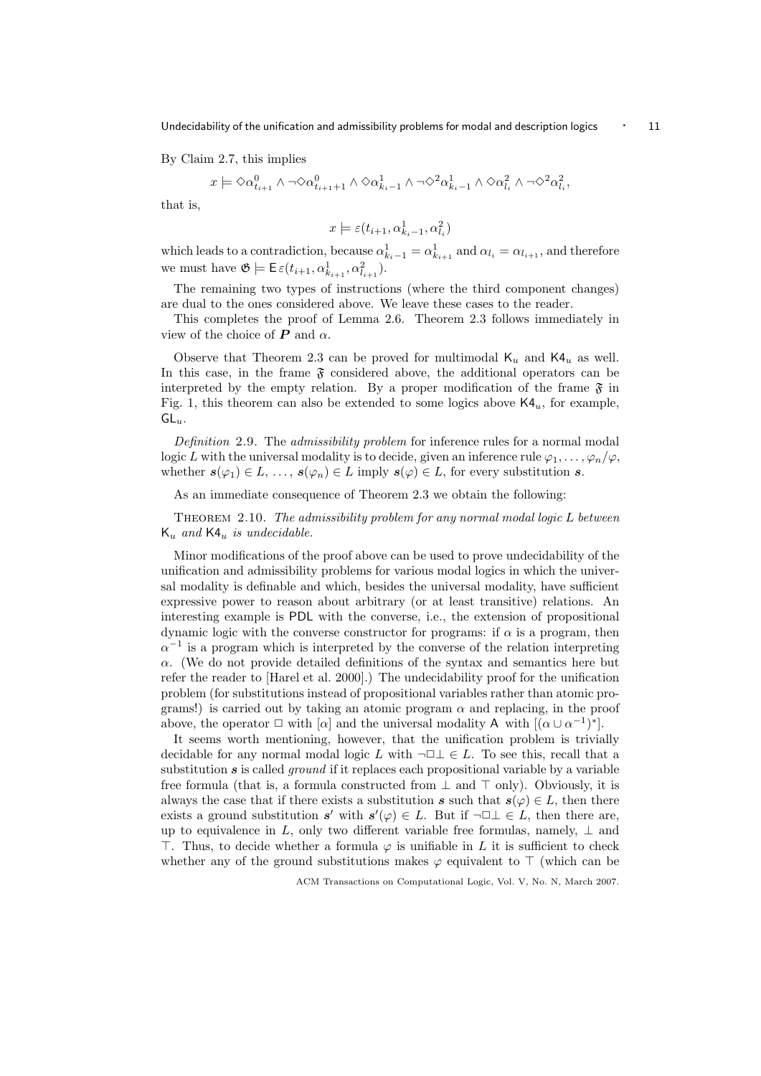By Claim 2.7, this implies

$$
x \models \Diamond \alpha_{t_{i+1}}^0 \land \neg \Diamond \alpha_{t_{i+1}+1}^0 \land \Diamond \alpha_{k_i-1}^1 \land \neg \Diamond^2 \alpha_{k_i-1}^1 \land \Diamond \alpha_{l_i}^2 \land \neg \Diamond^2 \alpha_{l_i}^2,
$$

that is,

$$
x \models \varepsilon(t_{i+1},\alpha_{k_i-1}^1,\alpha_{l_i}^2)
$$

which leads to a contradiction, because  $\alpha_{k_i-1}^1 = \alpha_{k_{i+1}}^1$  and  $\alpha_{l_i} = \alpha_{l_{i+1}}$ , and therefore we must have  $\mathfrak{G} \models \mathsf{E}_{\varepsilon}(t_{i+1}, \alpha_{k_{i+1}}^1, \alpha_{l_{i+1}}^2).$ 

The remaining two types of instructions (where the third component changes) are dual to the ones considered above. We leave these cases to the reader.

This completes the proof of Lemma 2.6. Theorem 2.3 follows immediately in view of the choice of  $P$  and  $\alpha$ .

Observe that Theorem 2.3 can be proved for multimodal  $K_u$  and  $K4_u$  as well. In this case, in the frame  $\mathfrak{F}$  considered above, the additional operators can be interpreted by the empty relation. By a proper modification of the frame  $\mathfrak{F}$  in Fig. 1, this theorem can also be extended to some logics above  $K4<sub>u</sub>$ , for example,  $GL_{u}$ .

Definition 2.9. The *admissibility problem* for inference rules for a normal modal logic L with the universal modality is to decide, given an inference rule  $\varphi_1, \ldots, \varphi_n/\varphi$ , whether  $s(\varphi_1) \in L, \ldots, s(\varphi_n) \in L$  imply  $s(\varphi) \in L$ , for every substitution s.

As an immediate consequence of Theorem 2.3 we obtain the following:

THEOREM 2.10. The admissibility problem for any normal modal logic L between  $K_u$  and  $K4_u$  is undecidable.

Minor modifications of the proof above can be used to prove undecidability of the unification and admissibility problems for various modal logics in which the universal modality is definable and which, besides the universal modality, have sufficient expressive power to reason about arbitrary (or at least transitive) relations. An interesting example is PDL with the converse, i.e., the extension of propositional dynamic logic with the converse constructor for programs: if  $\alpha$  is a program, then  $\alpha^{-1}$  is a program which is interpreted by the converse of the relation interpreting  $\alpha$ . (We do not provide detailed definitions of the syntax and semantics here but refer the reader to [Harel et al. 2000].) The undecidability proof for the unification problem (for substitutions instead of propositional variables rather than atomic programs!) is carried out by taking an atomic program  $\alpha$  and replacing, in the proof above, the operator  $\Box$  with  $[\alpha]$  and the universal modality A with  $[(\alpha \cup \alpha^{-1})^*]$ .

It seems worth mentioning, however, that the unification problem is trivially decidable for any normal modal logic L with  $\neg \Box \bot \in L$ . To see this, recall that a substitution  $s$  is called *ground* if it replaces each propositional variable by a variable free formula (that is, a formula constructed from  $\perp$  and  $\top$  only). Obviously, it is always the case that if there exists a substitution s such that  $s(\varphi) \in L$ , then there exists a ground substitution s' with  $s'(\varphi) \in L$ . But if  $\neg \Box \bot \in L$ , then there are, up to equivalence in L, only two different variable free formulas, namely,  $\perp$  and  $\top$ . Thus, to decide whether a formula  $\varphi$  is unifiable in L it is sufficient to check whether any of the ground substitutions makes  $\varphi$  equivalent to  $\top$  (which can be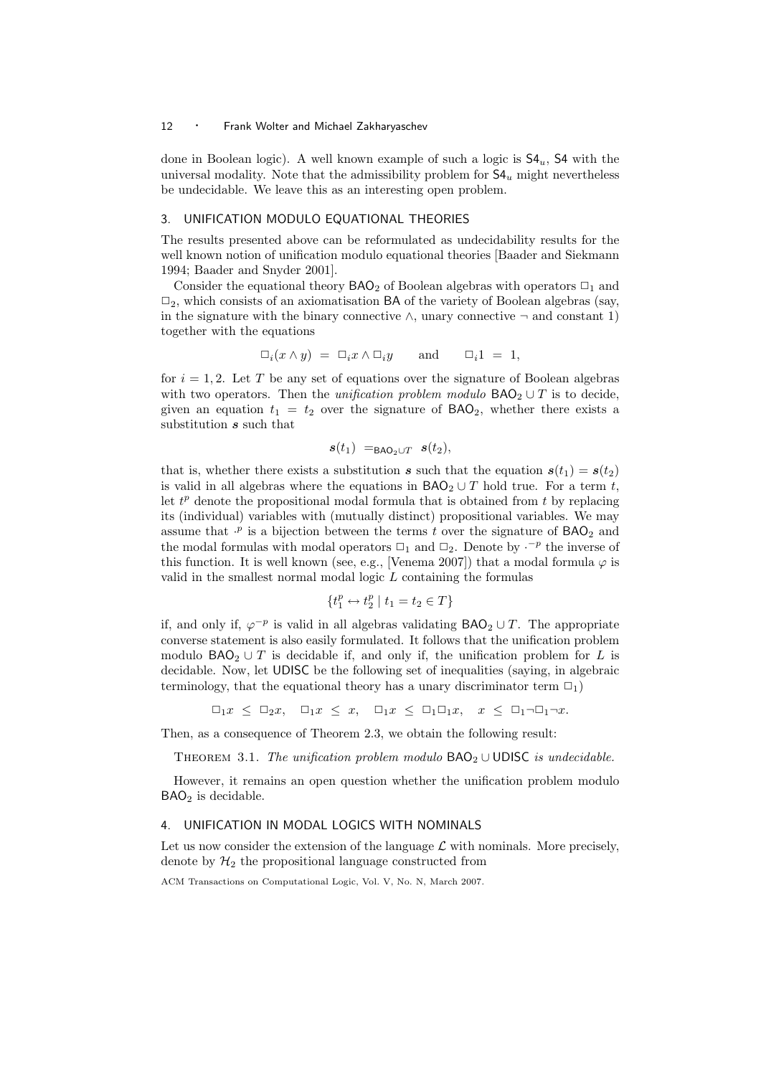done in Boolean logic). A well known example of such a logic is  $S4<sub>u</sub>$ ,  $S4$  with the universal modality. Note that the admissibility problem for  $S4<sub>u</sub>$  might nevertheless be undecidable. We leave this as an interesting open problem.

# 3. UNIFICATION MODULO EQUATIONAL THEORIES

The results presented above can be reformulated as undecidability results for the well known notion of unification modulo equational theories [Baader and Siekmann 1994; Baader and Snyder 2001].

Consider the equational theory  $BAO<sub>2</sub>$  of Boolean algebras with operators  $\Box_1$  and  $\Box_2$ , which consists of an axiomatisation BA of the variety of Boolean algebras (say, in the signature with the binary connective  $\land$ , unary connective  $\neg$  and constant 1) together with the equations

$$
\Box_i(x \wedge y) = \Box_i x \wedge \Box_i y \quad \text{and} \quad \Box_i 1 = 1,
$$

for  $i = 1, 2$ . Let T be any set of equations over the signature of Boolean algebras with two operators. Then the *unification problem modulo*  $BAO<sub>2</sub> \cup T$  is to decide, given an equation  $t_1 = t_2$  over the signature of  $BAO_2$ , whether there exists a substitution  $\boldsymbol{s}$  such that

$$
s(t_1) =_{\text{BAO}_2 \cup T} s(t_2),
$$

that is, whether there exists a substitution s such that the equation  $s(t_1) = s(t_2)$ is valid in all algebras where the equations in  $BAO<sub>2</sub> \cup T$  hold true. For a term t, let  $t^p$  denote the propositional modal formula that is obtained from  $t$  by replacing its (individual) variables with (mutually distinct) propositional variables. We may assume that  $\cdot^p$  is a bijection between the terms t over the signature of  $BAO_2$  and the modal formulas with modal operators  $\Box_1$  and  $\Box_2$ . Denote by  $\cdot^{-p}$  the inverse of this function. It is well known (see, e.g., [Venema 2007]) that a modal formula  $\varphi$  is valid in the smallest normal modal logic  $L$  containing the formulas

$$
\{t_1^p \leftrightarrow t_2^p \mid t_1 = t_2 \in T\}
$$

if, and only if,  $\varphi^{-p}$  is valid in all algebras validating  $\mathsf{BAO}_2 \cup T$ . The appropriate converse statement is also easily formulated. It follows that the unification problem modulo BAO<sub>2</sub> ∪ T is decidable if, and only if, the unification problem for L is decidable. Now, let UDISC be the following set of inequalities (saying, in algebraic terminology, that the equational theory has a unary discriminator term  $\Box_1$ )

 $\Box_1 x \leq \Box_2 x$ ,  $\Box_1 x \leq x$ ,  $\Box_1 x \leq \Box_1 \Box_1 x$ ,  $x \leq \Box_1 \neg \Box_1 \neg x$ .

Then, as a consequence of Theorem 2.3, we obtain the following result:

THEOREM 3.1. The unification problem modulo  $BAO<sub>2</sub> \cup UDISC$  is undecidable.

However, it remains an open question whether the unification problem modulo  $BAO<sub>2</sub>$  is decidable.

# 4. UNIFICATION IN MODAL LOGICS WITH NOMINALS

Let us now consider the extension of the language  $\mathcal L$  with nominals. More precisely, denote by  $\mathcal{H}_2$  the propositional language constructed from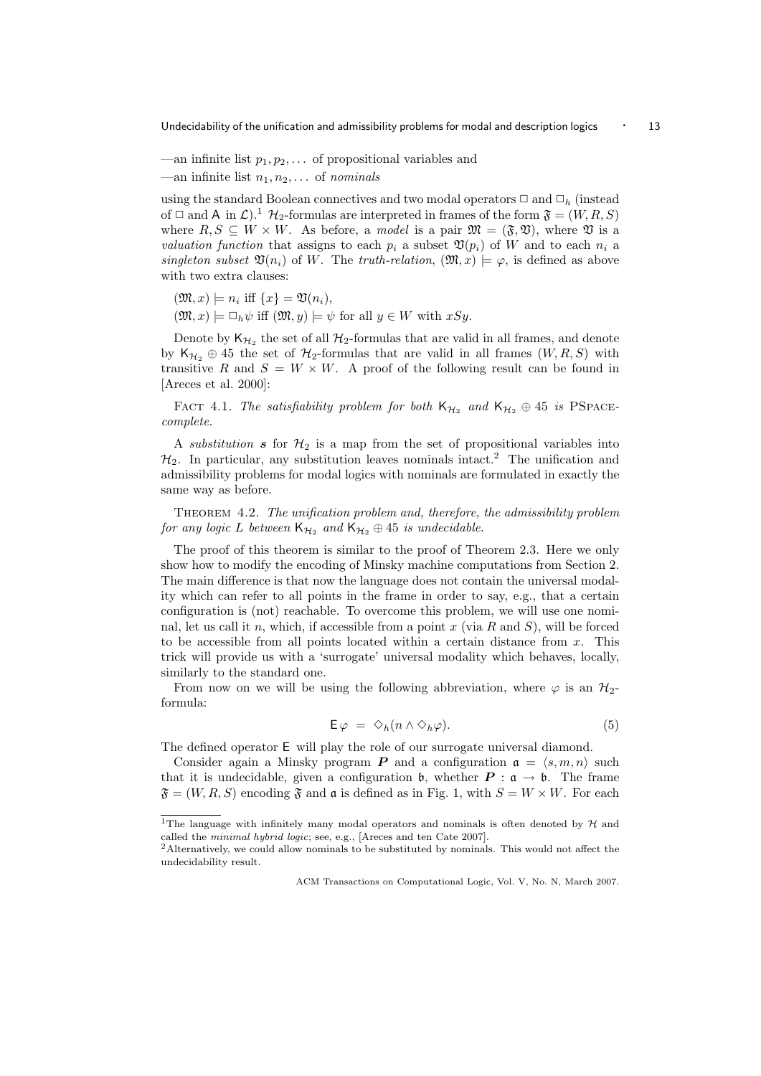- —an infinite list  $p_1, p_2, \ldots$  of propositional variables and
- —an infinite list  $n_1, n_2, \ldots$  of nominals

using the standard Boolean connectives and two modal operators  $\Box$  and  $\Box_h$  (instead of  $\Box$  and A in  $\mathcal{L}$ ).<sup>1</sup>  $\mathcal{H}_2$ -formulas are interpreted in frames of the form  $\mathfrak{F} = (W, R, S)$ where  $R, S \subseteq W \times W$ . As before, a *model* is a pair  $\mathfrak{M} = (\mathfrak{F}, \mathfrak{V})$ , where  $\mathfrak{V}$  is a valuation function that assigns to each  $p_i$  a subset  $\mathfrak{V}(p_i)$  of W and to each  $n_i$  a singleton subset  $\mathfrak{V}(n_i)$  of W. The truth-relation,  $(\mathfrak{M}, x) \models \varphi$ , is defined as above with two extra clauses:

- $(\mathfrak{M},x)\models n_i \text{ iff } \{x\}=\mathfrak{V}(n_i),$
- $(\mathfrak{M}, x) \models \Box_h \psi$  iff  $(\mathfrak{M}, y) \models \psi$  for all  $y \in W$  with  $xSy$ .

Denote by  $\mathsf{K}_{\mathcal{H}_2}$  the set of all  $\mathcal{H}_2$ -formulas that are valid in all frames, and denote by  $\mathsf{K}_{\mathcal{H}_2} \oplus$  45 the set of  $\mathcal{H}_2$ -formulas that are valid in all frames  $(W, R, S)$  with transitive R and  $S = W \times W$ . A proof of the following result can be found in [Areces et al. 2000]:

FACT 4.1. The satisfiability problem for both  $K_{\mathcal{H}_2}$  and  $K_{\mathcal{H}_2} \oplus 45$  is PSPACEcomplete.

A substitution s for  $\mathcal{H}_2$  is a map from the set of propositional variables into  $\mathcal{H}_2$ . In particular, any substitution leaves nominals intact.<sup>2</sup> The unification and admissibility problems for modal logics with nominals are formulated in exactly the same way as before.

Theorem 4.2. The unification problem and, therefore, the admissibility problem for any logic L between  $K_{H_2}$  and  $K_{H_2} \oplus 45$  is undecidable.

The proof of this theorem is similar to the proof of Theorem 2.3. Here we only show how to modify the encoding of Minsky machine computations from Section 2. The main difference is that now the language does not contain the universal modality which can refer to all points in the frame in order to say, e.g., that a certain configuration is (not) reachable. To overcome this problem, we will use one nominal, let us call it n, which, if accessible from a point x (via R and S), will be forced to be accessible from all points located within a certain distance from  $x$ . This trick will provide us with a 'surrogate' universal modality which behaves, locally, similarly to the standard one.

From now on we will be using the following abbreviation, where  $\varphi$  is an  $\mathcal{H}_{2}$ formula:

$$
\mathsf{E}\,\varphi\ =\ \diamondsuit_h(n\wedge \diamondsuit_h\varphi). \tag{5}
$$

The defined operator E will play the role of our surrogate universal diamond.

Consider again a Minsky program **P** and a configuration  $a = \langle s, m, n \rangle$  such that it is undecidable, given a configuration  $\mathfrak{b}$ , whether  $P : \mathfrak{a} \to \mathfrak{b}$ . The frame  $\mathfrak{F} = (W, R, S)$  encoding  $\mathfrak{F}$  and  $\mathfrak{a}$  is defined as in Fig. 1, with  $S = W \times W$ . For each

<sup>&</sup>lt;sup>1</sup>The language with infinitely many modal operators and nominals is often denoted by  $H$  and called the minimal hybrid logic; see, e.g., [Areces and ten Cate 2007].

<sup>2</sup>Alternatively, we could allow nominals to be substituted by nominals. This would not affect the undecidability result.

ACM Transactions on Computational Logic, Vol. V, No. N, March 2007.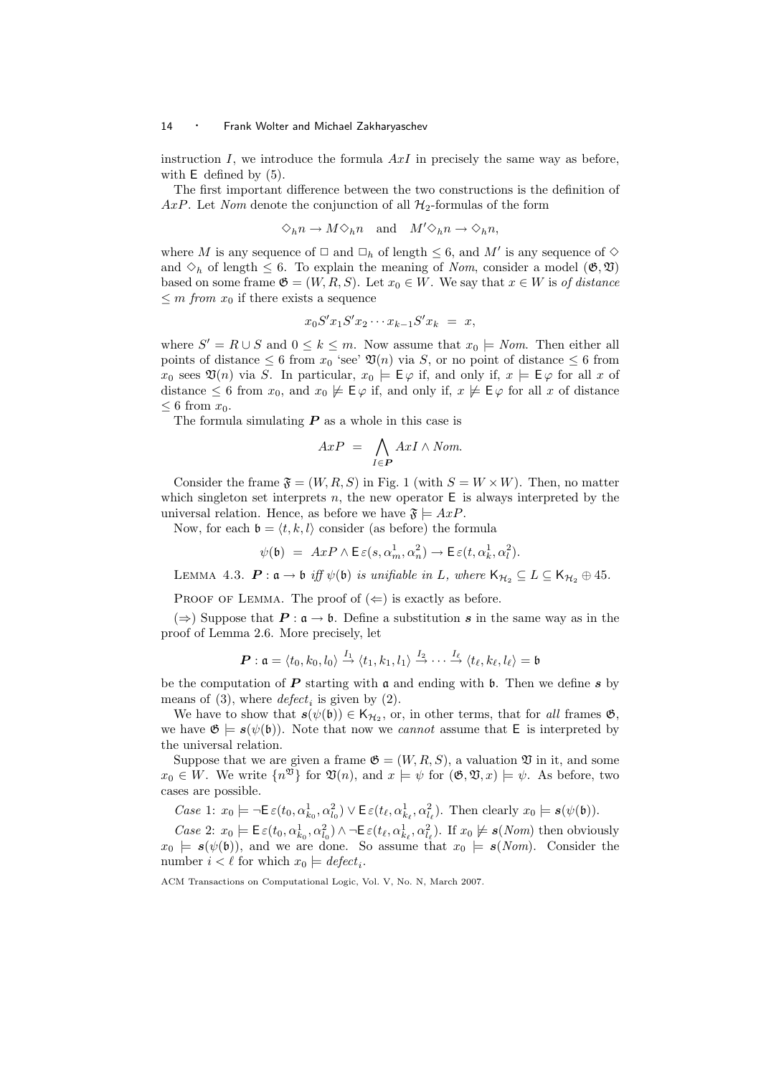instruction  $I$ , we introduce the formula  $AxI$  in precisely the same way as before, with **E** defined by  $(5)$ .

The first important difference between the two constructions is the definition of AxP. Let Nom denote the conjunction of all  $\mathcal{H}_2$ -formulas of the form

$$
\Diamond_h n \to M \Diamond_h n \quad \text{and} \quad M' \Diamond_h n \to \Diamond_h n,
$$

where M is any sequence of  $\Box$  and  $\Box_h$  of length  $\leq 6$ , and M' is any sequence of  $\diamond$ and  $\Diamond_h$  of length  $\leq$  6. To explain the meaning of *Nom*, consider a model ( $\mathfrak{G}, \mathfrak{V}$ ) based on some frame  $\mathfrak{G} = (W, R, S)$ . Let  $x_0 \in W$ . We say that  $x \in W$  is of distance  $\leq m$  from  $x_0$  if there exists a sequence

$$
x_0 S' x_1 S' x_2 \cdots x_{k-1} S' x_k = x,
$$

where  $S' = R \cup S$  and  $0 \leq k \leq m$ . Now assume that  $x_0 \models N \text{om}$ . Then either all points of distance  $\leq 6$  from  $x_0$  'see'  $\mathfrak{V}(n)$  via S, or no point of distance  $\leq 6$  from  $x_0$  sees  $\mathfrak{V}(n)$  via S. In particular,  $x_0 \models \mathsf{E}\varphi$  if, and only if,  $x \models \mathsf{E}\varphi$  for all x of distance  $\leq 6$  from  $x_0$ , and  $x_0 \not\models \vDash \varphi$  if, and only if,  $x \not\models \vDash \varphi$  for all x of distance  $\leq 6$  from  $x_0$ .

The formula simulating  $P$  as a whole in this case is

$$
AxP = \bigwedge_{I \in P} AxI \wedge Nom.
$$

Consider the frame  $\mathfrak{F} = (W, R, S)$  in Fig. 1 (with  $S = W \times W$ ). Then, no matter which singleton set interprets n, the new operator  $E$  is always interpreted by the universal relation. Hence, as before we have  $\mathfrak{F} \models AxP$ .

Now, for each  $\mathfrak{b} = \langle t, k, l \rangle$  consider (as before) the formula

$$
\psi(\mathfrak{b})\ =\ A x P \wedge \mathsf{E}\, \varepsilon(s, \alpha_m^1, \alpha_n^2) \to \mathsf{E}\, \varepsilon(t, \alpha_k^1, \alpha_l^2).
$$

LEMMA 4.3.  $\mathbf{P}: \mathfrak{a} \to \mathfrak{b}$  iff  $\psi(\mathfrak{b})$  is unifiable in L, where  $\mathsf{K}_{\mathcal{H}_2} \subseteq L \subseteq \mathsf{K}_{\mathcal{H}_2} \oplus 45$ .

PROOF OF LEMMA. The proof of  $(\Leftarrow)$  is exactly as before.

(⇒) Suppose that  $P : a \rightarrow b$ . Define a substitution s in the same way as in the proof of Lemma 2.6. More precisely, let

$$
\boldsymbol{P}:\mathfrak{a}=\langle t_0,k_0,l_0 \rangle \stackrel{I_1}{\rightarrow} \langle t_1,k_1,l_1 \rangle \stackrel{I_2}{\rightarrow} \cdots \stackrel{I_\ell}{\rightarrow} \langle t_\ell,k_\ell,l_\ell \rangle=\mathfrak{b}
$$

be the computation of  $\boldsymbol{P}$  starting with  $\boldsymbol{\mathfrak{a}}$  and ending with  $\boldsymbol{\mathfrak{b}}$ . Then we define  $\boldsymbol{s}$  by means of (3), where  $defect_i$  is given by (2).

We have to show that  $s(\psi(\mathfrak{b})) \in \mathsf{K}_{\mathcal{H}_2}$ , or, in other terms, that for all frames  $\mathfrak{G}$ , we have  $\mathfrak{G} \models s(\psi(\mathfrak{b}))$ . Note that now we *cannot* assume that E is interpreted by the universal relation.

Suppose that we are given a frame  $\mathfrak{G} = (W, R, S)$ , a valuation  $\mathfrak V$  in it, and some  $x_0 \in W$ . We write  $\{n^{\mathfrak{V}}\}$  for  $\mathfrak{V}(n)$ , and  $x \models \psi$  for  $(\mathfrak{G}, \mathfrak{V}, x) \models \psi$ . As before, two cases are possible.

Case 1:  $x_0 \models \neg \mathsf{E}\,\varepsilon(t_0, \alpha_{k_0}^1, \alpha_{l_0}^2) \vee \mathsf{E}\,\varepsilon(t_\ell, \alpha_{k_\ell}^1, \alpha_{l_\ell}^2)$ . Then clearly  $x_0 \models s(\psi(\mathfrak{b}))$ .

Case 2:  $x_0 \models \mathsf{E}\,\varepsilon(t_0, \alpha_{k_0}^1, \alpha_{l_0}^2) \wedge \neg \mathsf{E}\,\varepsilon(t_\ell, \alpha_{k_\ell}^1, \alpha_{l_\ell}^2)$ . If  $x_0 \not\models s(\textit{Nom})$  then obviously  $x_0 \models s(\psi(\mathfrak{b}))$ , and we are done. So assume that  $x_0 \models s(Nom)$ . Consider the number  $i < \ell$  for which  $x_0 \models \text{defect}_i$ .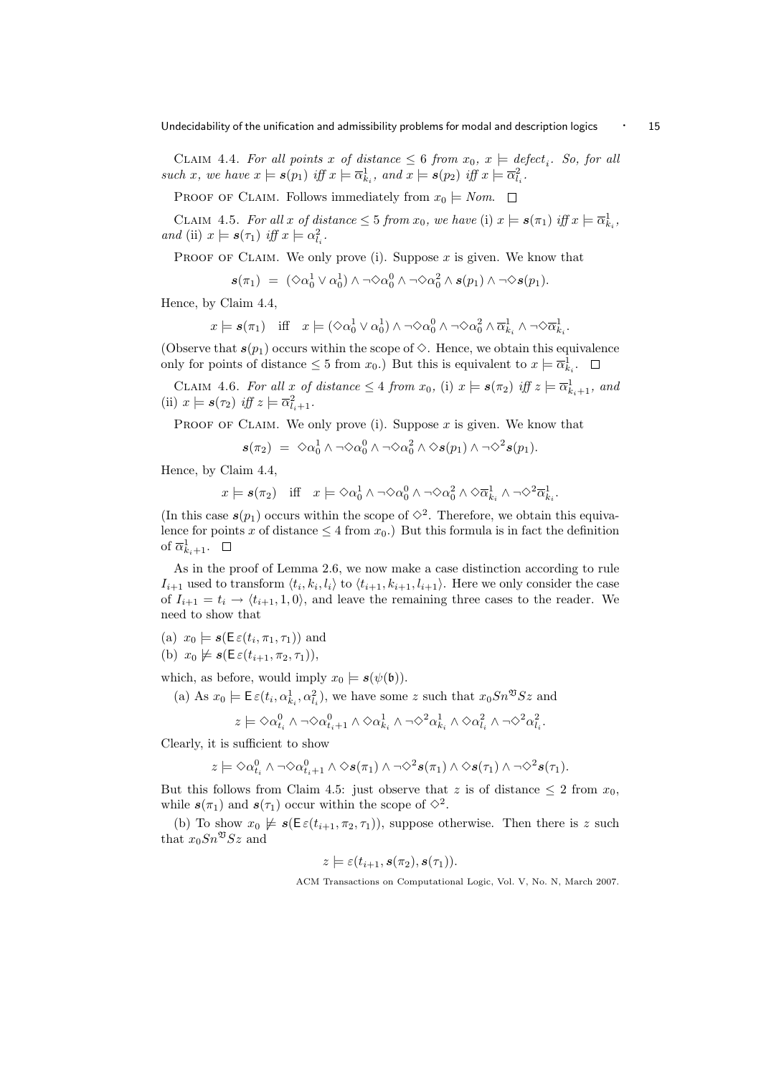CLAIM 4.4. For all points x of distance  $\leq 6$  from  $x_0, x \models \text{defect}_i$ . So, for all such x, we have  $x \models s(p_1)$  iff  $x \models \overline{\alpha}_{k_i}^1$ , and  $x \models s(p_2)$  iff  $x \models \overline{\alpha}_{l_i}^2$ .

PROOF OF CLAIM. Follows immediately from  $x_0 \models N \text{om.}$ 

CLAIM 4.5. For all x of distance  $\leq 5$  from  $x_0$ , we have (i)  $x \models s(\pi_1)$  iff  $x \models \overline{\alpha}_{k_i}^1$ , and (ii)  $x \models s(\tau_1)$  iff  $x \models \alpha_{l_i}^2$ .

PROOF OF CLAIM. We only prove (i). Suppose  $x$  is given. We know that

$$
\textbf{\textit{s}}(\pi_1)\ =\ (\Diamond \alpha_0^1\lor \alpha_0^1)\land \neg \Diamond \alpha_0^0\land \neg \Diamond \alpha_0^2\land \textbf{\textit{s}}(p_1)\land \neg \Diamond \textbf{\textit{s}}(p_1).
$$

Hence, by Claim 4.4,

$$
x \models \mathbf{s}(\pi_1) \quad \text{iff} \quad x \models (\Diamond \alpha_0^1 \lor \alpha_0^1) \land \neg \Diamond \alpha_0^0 \land \neg \Diamond \alpha_0^2 \land \overline{\alpha}_{k_i}^1 \land \neg \Diamond \overline{\alpha}_{k_i}^1.
$$

(Observe that  $s(p_1)$  occurs within the scope of  $\Diamond$ . Hence, we obtain this equivalence only for points of distance  $\leq 5$  from  $x_0$ .) But this is equivalent to  $x \models \overline{\alpha}_{k_i}^1$ .

CLAIM 4.6. For all x of distance  $\leq 4$  from  $x_0$ , (i)  $x \models s(\pi_2)$  iff  $z \models \overline{\alpha}_{k_i+1}^1$ , and (ii)  $x \models s(\tau_2)$  iff  $z \models \overline{\alpha}_{l_i+1}^2$ .

PROOF OF CLAIM. We only prove (i). Suppose  $x$  is given. We know that

$$
\textbf{\textit{s}}(\pi_2)\ =\ \Diamond \alpha_0^1 \wedge \neg \Diamond \alpha_0^0 \wedge \neg \Diamond \alpha_0^2 \wedge \Diamond \textbf{\textit{s}}(p_1) \wedge \neg \Diamond^2 \textbf{\textit{s}}(p_1).
$$

Hence, by Claim 4.4,

$$
x \models s(\pi_2) \quad \text{iff} \quad x \models \Diamond \alpha_0^1 \land \neg \Diamond \alpha_0^0 \land \neg \Diamond \alpha_0^2 \land \Diamond \overline{\alpha}_{k_i}^1 \land \neg \Diamond^2 \overline{\alpha}_{k_i}^1.
$$

(In this case  $s(p_1)$  occurs within the scope of  $\diamond^2$ . Therefore, we obtain this equivalence for points x of distance  $\leq 4$  from  $x_0$ .) But this formula is in fact the definition of  $\overline{\alpha}_{k_i+1}^1$ .

As in the proof of Lemma 2.6, we now make a case distinction according to rule  $I_{i+1}$  used to transform  $\langle t_i, k_i, l_i \rangle$  to  $\langle t_{i+1}, k_{i+1}, l_{i+1} \rangle$ . Here we only consider the case of  $I_{i+1} = t_i \rightarrow \langle t_{i+1}, 1, 0 \rangle$ , and leave the remaining three cases to the reader. We need to show that

(a)  $x_0 \models s(\mathsf{E}\,\varepsilon(t_i,\pi_1,\tau_1))$  and

(b) 
$$
x_0 \not\models s(\mathsf{E}\,\varepsilon(t_{i+1},\pi_2,\tau_1)),
$$

which, as before, would imply  $x_0 \models s(\psi(\mathfrak{b}))$ .

(a) As  $x_0 \models E \varepsilon(t_i, \alpha_{k_i}^1, \alpha_{l_i}^2)$ , we have some z such that  $x_0 S n^{\mathfrak{V}} S z$  and

$$
z \models \Diamond \alpha^0_{t_i} \land \neg \Diamond \alpha^0_{t_i+1} \land \Diamond \alpha^1_{k_i} \land \neg \Diamond^2 \alpha^1_{k_i} \land \Diamond \alpha^2_{l_i} \land \neg \Diamond^2 \alpha^2_{l_i}.
$$

Clearly, it is sufficient to show

$$
z \models \Diamond \alpha_{t_i}^0 \land \neg \Diamond \alpha_{t_i+1}^0 \land \Diamond s(\pi_1) \land \neg \Diamond^2 s(\pi_1) \land \Diamond s(\tau_1) \land \neg \Diamond^2 s(\tau_1).
$$

But this follows from Claim 4.5: just observe that z is of distance  $\leq 2$  from  $x_0$ , while  $s(\pi_1)$  and  $s(\tau_1)$  occur within the scope of  $\Diamond^2$ .

(b) To show  $x_0 \not\models s(\mathsf{E}\varepsilon(t_{i+1}, \pi_2, \tau_1)),$  suppose otherwise. Then there is z such that  $x_0Sn^{\mathfrak{V}}Sz$  and

$$
z \models \varepsilon(t_{i+1}, s(\pi_2), s(\tau_1)).
$$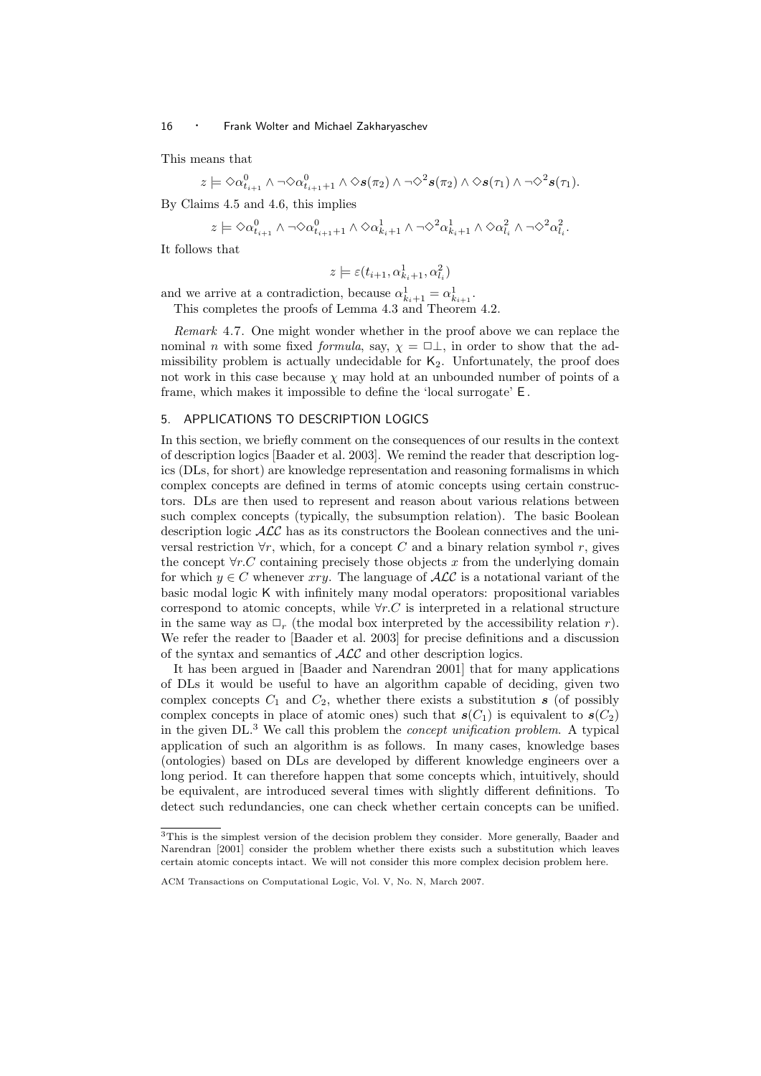This means that

$$
z \models \Diamond \alpha^0_{t_{i+1}} \land \neg \Diamond \alpha^0_{t_{i+1}+1} \land \Diamond s(\pi_2) \land \neg \Diamond^2 s(\pi_2) \land \Diamond s(\tau_1) \land \neg \Diamond^2 s(\tau_1).
$$

By Claims 4.5 and 4.6, this implies

$$
z \models \Diamond \alpha_{t_{i+1}}^0 \land \neg \Diamond \alpha_{t_{i+1}+1}^0 \land \Diamond \alpha_{k_i+1}^1 \land \neg \Diamond^2 \alpha_{k_i+1}^1 \land \Diamond \alpha_{l_i}^2 \land \neg \Diamond^2 \alpha_{l_i}^2.
$$

It follows that

$$
z \models \varepsilon(t_{i+1}, \alpha_{k_i+1}^1, \alpha_{l_i}^2)
$$

and we arrive at a contradiction, because  $\alpha_{k_i+1}^1 = \alpha_{k_{i+1}}^1$ .

This completes the proofs of Lemma 4.3 and Theorem 4.2.

Remark 4.7. One might wonder whether in the proof above we can replace the nominal n with some fixed formula, say,  $\chi = \Box \bot$ , in order to show that the admissibility problem is actually undecidable for  $K_2$ . Unfortunately, the proof does not work in this case because  $\chi$  may hold at an unbounded number of points of a frame, which makes it impossible to define the 'local surrogate' E .

## 5. APPLICATIONS TO DESCRIPTION LOGICS

In this section, we briefly comment on the consequences of our results in the context of description logics [Baader et al. 2003]. We remind the reader that description logics (DLs, for short) are knowledge representation and reasoning formalisms in which complex concepts are defined in terms of atomic concepts using certain constructors. DLs are then used to represent and reason about various relations between such complex concepts (typically, the subsumption relation). The basic Boolean description logic ALC has as its constructors the Boolean connectives and the universal restriction  $\forall r$ , which, for a concept C and a binary relation symbol r, gives the concept  $\forall r.C$  containing precisely those objects x from the underlying domain for which  $y \in C$  whenever xry. The language of  $\mathcal{ALC}$  is a notational variant of the basic modal logic K with infinitely many modal operators: propositional variables correspond to atomic concepts, while  $\forall r.C$  is interpreted in a relational structure in the same way as  $\Box_r$  (the modal box interpreted by the accessibility relation r). We refer the reader to [Baader et al. 2003] for precise definitions and a discussion of the syntax and semantics of ALC and other description logics.

It has been argued in [Baader and Narendran 2001] that for many applications of DLs it would be useful to have an algorithm capable of deciding, given two complex concepts  $C_1$  and  $C_2$ , whether there exists a substitution s (of possibly complex concepts in place of atomic ones) such that  $s(C_1)$  is equivalent to  $s(C_2)$ in the given DL.<sup>3</sup> We call this problem the concept unification problem. A typical application of such an algorithm is as follows. In many cases, knowledge bases (ontologies) based on DLs are developed by different knowledge engineers over a long period. It can therefore happen that some concepts which, intuitively, should be equivalent, are introduced several times with slightly different definitions. To detect such redundancies, one can check whether certain concepts can be unified.

<sup>3</sup>This is the simplest version of the decision problem they consider. More generally, Baader and Narendran [2001] consider the problem whether there exists such a substitution which leaves certain atomic concepts intact. We will not consider this more complex decision problem here.

ACM Transactions on Computational Logic, Vol. V, No. N, March 2007.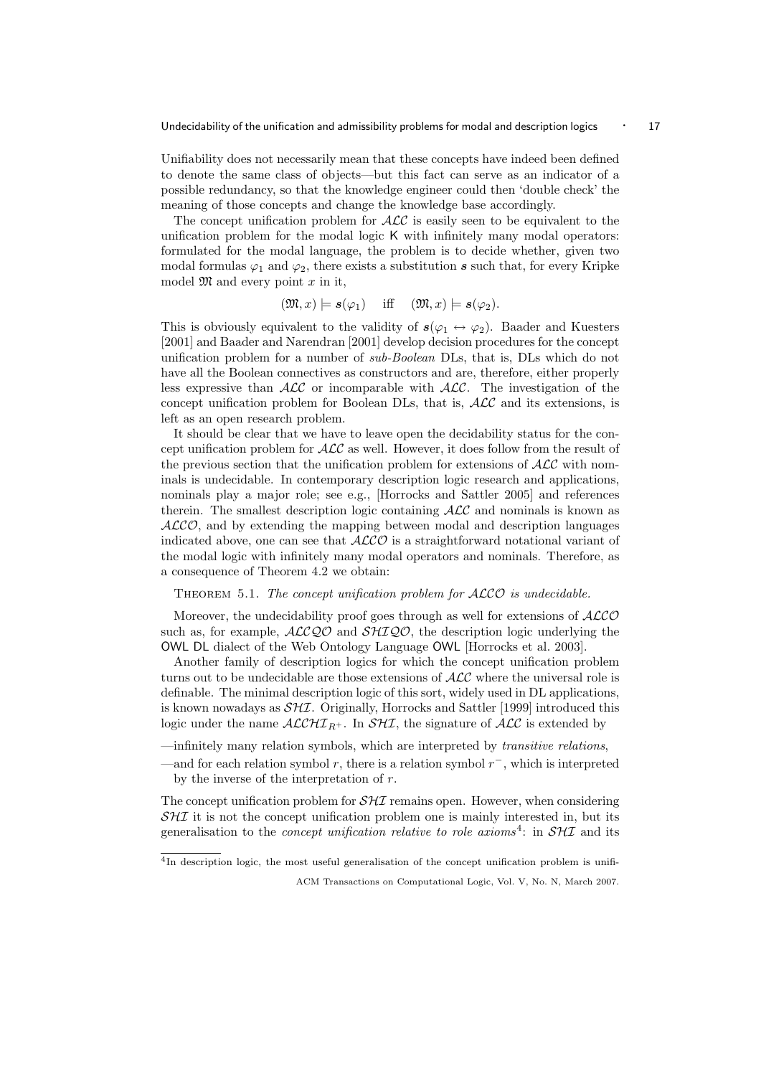Undecidability of the unification and admissibility problems for modal and description logics  $\cdot$  17

Unifiability does not necessarily mean that these concepts have indeed been defined to denote the same class of objects—but this fact can serve as an indicator of a possible redundancy, so that the knowledge engineer could then 'double check' the meaning of those concepts and change the knowledge base accordingly.

The concept unification problem for  $\mathcal{ALC}$  is easily seen to be equivalent to the unification problem for the modal logic K with infinitely many modal operators: formulated for the modal language, the problem is to decide whether, given two modal formulas  $\varphi_1$  and  $\varphi_2$ , there exists a substitution s such that, for every Kripke model  $\mathfrak{M}$  and every point x in it,

$$
(\mathfrak{M},x)\models s(\varphi_1)
$$
 iff  $(\mathfrak{M},x)\models s(\varphi_2)$ .

This is obviously equivalent to the validity of  $s(\varphi_1 \leftrightarrow \varphi_2)$ . Baader and Kuesters [2001] and Baader and Narendran [2001] develop decision procedures for the concept unification problem for a number of sub-Boolean DLs, that is, DLs which do not have all the Boolean connectives as constructors and are, therefore, either properly less expressive than  $ALC$  or incomparable with  $ALC$ . The investigation of the concept unification problem for Boolean DLs, that is, ALC and its extensions, is left as an open research problem.

It should be clear that we have to leave open the decidability status for the concept unification problem for  $\mathcal{ALC}$  as well. However, it does follow from the result of the previous section that the unification problem for extensions of  $\mathcal{ALC}$  with nominals is undecidable. In contemporary description logic research and applications, nominals play a major role; see e.g., [Horrocks and Sattler 2005] and references therein. The smallest description logic containing  $\text{AEC}$  and nominals is known as  $ALCO$ , and by extending the mapping between modal and description languages indicated above, one can see that  $ALCO$  is a straightforward notational variant of the modal logic with infinitely many modal operators and nominals. Therefore, as a consequence of Theorem 4.2 we obtain:

# THEOREM 5.1. The concept unification problem for ALCO is undecidable.

Moreover, the undecidability proof goes through as well for extensions of  $ALCO$ such as, for example,  $ALCQO$  and  $SHIQO$ , the description logic underlying the OWL DL dialect of the Web Ontology Language OWL [Horrocks et al. 2003].

Another family of description logics for which the concept unification problem turns out to be undecidable are those extensions of  $\mathcal{ALC}$  where the universal role is definable. The minimal description logic of this sort, widely used in DL applications, is known nowadays as  $\mathcal{SHI}$ . Originally, Horrocks and Sattler [1999] introduced this logic under the name  $\mathcal{ALCHI}_{R+}$ . In  $\mathcal{SHI}$ , the signature of  $\mathcal{ALC}$  is extended by

—infinitely many relation symbols, which are interpreted by transitive relations,

The concept unification problem for  $\mathcal{SHI}$  remains open. However, when considering  $SHI$  it is not the concept unification problem one is mainly interested in, but its generalisation to the *concept unification relative to role axioms*<sup>4</sup>: in  $\mathcal{S}H\mathcal{I}$  and its

<sup>4</sup>In description logic, the most useful generalisation of the concept unification problem is unifi-

<sup>—</sup>and for each relation symbol r, there is a relation symbol  $r^-$ , which is interpreted by the inverse of the interpretation of r.

ACM Transactions on Computational Logic, Vol. V, No. N, March 2007.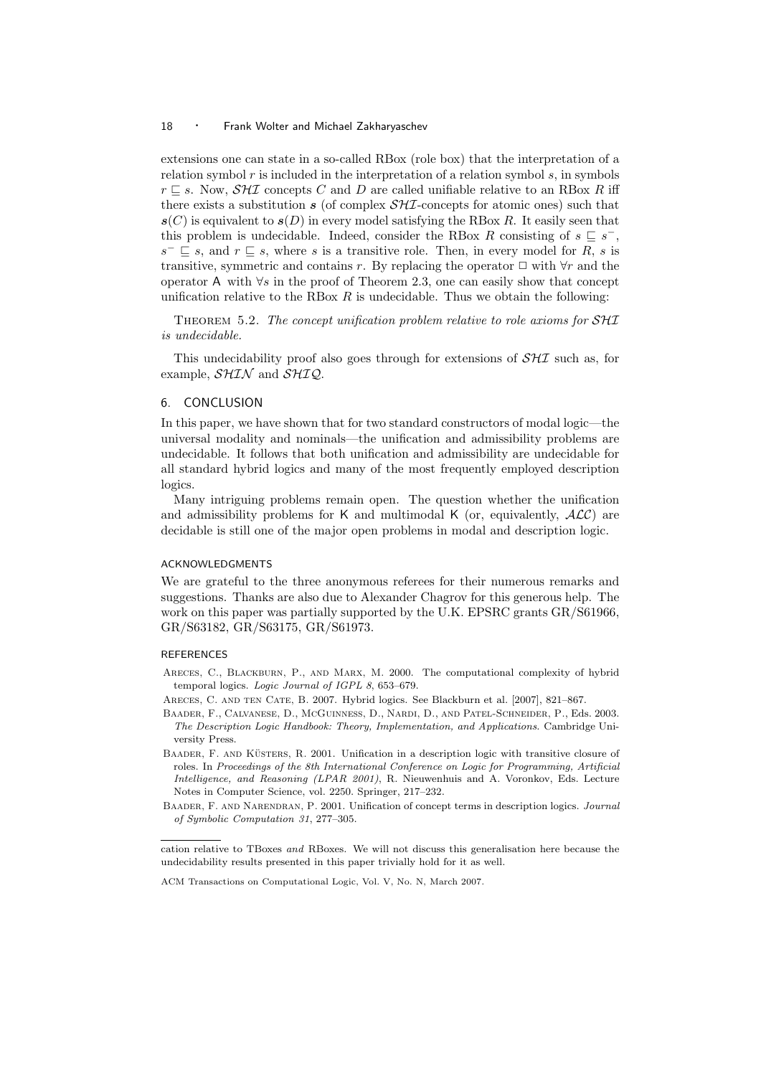extensions one can state in a so-called RBox (role box) that the interpretation of a relation symbol  $r$  is included in the interpretation of a relation symbol  $s$ , in symbols  $r \nightharpoonup s$ . Now,  $\mathcal{S}H\mathcal{I}$  concepts C and D are called unifiable relative to an RBox R iff there exists a substitution s (of complex  $\mathcal{SHI}$ -concepts for atomic ones) such that  $s(C)$  is equivalent to  $s(D)$  in every model satisfying the RBox R. It easily seen that this problem is undecidable. Indeed, consider the RBox R consisting of  $s \subseteq s^-$ ,  $s^- \sqsubseteq s$ , and  $r \sqsubseteq s$ , where s is a transitive role. Then, in every model for R, s is transitive, symmetric and contains r. By replacing the operator  $\Box$  with  $\forall r$  and the operator A with ∀s in the proof of Theorem 2.3, one can easily show that concept unification relative to the RBox  $R$  is undecidable. Thus we obtain the following:

THEOREM 5.2. The concept unification problem relative to role axioms for SHI is undecidable.

This undecidability proof also goes through for extensions of  $\mathcal{S}H\mathcal{I}$  such as, for example,  $\mathcal{SHIN}$  and  $\mathcal{SHIQ}$ .

## 6. CONCLUSION

In this paper, we have shown that for two standard constructors of modal logic—the universal modality and nominals—the unification and admissibility problems are undecidable. It follows that both unification and admissibility are undecidable for all standard hybrid logics and many of the most frequently employed description logics.

Many intriguing problems remain open. The question whether the unification and admissibility problems for K and multimodal K (or, equivalently,  $ALC$ ) are decidable is still one of the major open problems in modal and description logic.

# ACKNOWLEDGMENTS

We are grateful to the three anonymous referees for their numerous remarks and suggestions. Thanks are also due to Alexander Chagrov for this generous help. The work on this paper was partially supported by the U.K. EPSRC grants GR/S61966, GR/S63182, GR/S63175, GR/S61973.

# REFERENCES

- Areces, C., Blackburn, P., and Marx, M. 2000. The computational complexity of hybrid temporal logics. Logic Journal of IGPL 8, 653–679.
- Areces, C. and ten Cate, B. 2007. Hybrid logics. See Blackburn et al. [2007], 821–867.
- Baader, F., Calvanese, D., McGuinness, D., Nardi, D., and Patel-Schneider, P., Eds. 2003. The Description Logic Handbook: Theory, Implementation, and Applications. Cambridge University Press.
- BAADER, F. AND KÜSTERS, R. 2001. Unification in a description logic with transitive closure of roles. In Proceedings of the 8th International Conference on Logic for Programming, Artificial Intelligence, and Reasoning (LPAR 2001), R. Nieuwenhuis and A. Voronkov, Eds. Lecture Notes in Computer Science, vol. 2250. Springer, 217–232.
- BAADER, F. AND NARENDRAN, P. 2001. Unification of concept terms in description logics. Journal of Symbolic Computation 31, 277–305.

cation relative to TBoxes and RBoxes. We will not discuss this generalisation here because the undecidability results presented in this paper trivially hold for it as well.

ACM Transactions on Computational Logic, Vol. V, No. N, March 2007.